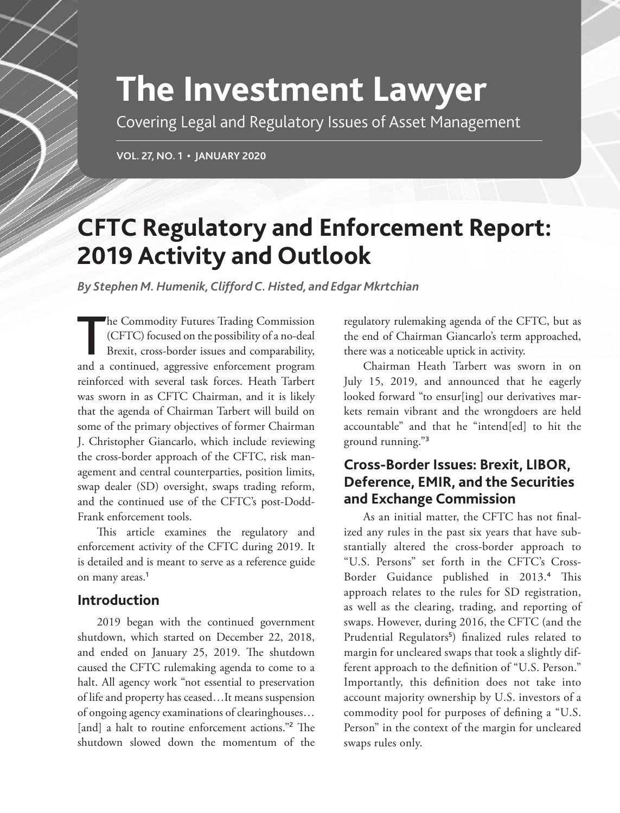# **The Investment Lawyer**

Covering Legal and Regulatory Issues of Asset Management

**VOL. 27, NO. 1 • JANUARY 2020**

# **CFTC Regulatory and Enforcement Report: 2019 Activity and Outlook**

*By Stephen M. Humenik, Clifford C. Histed, and Edgar Mkrtchian*

he Commodity Futures Trading Commission<br>(CFTC) focused on the possibility of a no-deal<br>Brexit, cross-border issues and comparability,<br>and a continued, aggressive enforcement program he Commodity Futures Trading Commission (CFTC) focused on the possibility of a no-deal Brexit, cross-border issues and comparability, reinforced with several task forces. Heath Tarbert was sworn in as CFTC Chairman, and it is likely that the agenda of Chairman Tarbert will build on some of the primary objectives of former Chairman J. Christopher Giancarlo, which include reviewing the cross-border approach of the CFTC, risk management and central counterparties, position limits, swap dealer (SD) oversight, swaps trading reform, and the continued use of the CFTC's post-Dodd-Frank enforcement tools.

This article examines the regulatory and enforcement activity of the CFTC during 2019. It is detailed and is meant to serve as a reference guide on many areas.<sup>1</sup>

#### **Introduction**

2019 began with the continued government shutdown, which started on December 22, 2018, and ended on January 25, 2019. The shutdown caused the CFTC rulemaking agenda to come to a halt. All agency work "not essential to preservation of life and property has ceased…It means suspension of ongoing agency examinations of clearinghouses… [and] a halt to routine enforcement actions."<sup>2</sup> The shutdown slowed down the momentum of the

regulatory rulemaking agenda of the CFTC, but as the end of Chairman Giancarlo's term approached, there was a noticeable uptick in activity.

Chairman Heath Tarbert was sworn in on July 15, 2019, and announced that he eagerly looked forward "to ensur[ing] our derivatives markets remain vibrant and the wrongdoers are held accountable" and that he "intend[ed] to hit the ground running."<sup>3</sup>

# **Cross-Border Issues: Brexit, LIBOR, Deference, EMIR, and the Securities and Exchange Commission**

As an initial matter, the CFTC has not finalized any rules in the past six years that have substantially altered the cross-border approach to "U.S. Persons" set forth in the CFTC's Cross-Border Guidance published in 2013.<sup>4</sup> This approach relates to the rules for SD registration, as well as the clearing, trading, and reporting of swaps. However, during 2016, the CFTC (and the Prudential Regulators<sup>5</sup>) finalized rules related to margin for uncleared swaps that took a slightly different approach to the definition of "U.S. Person." Importantly, this definition does not take into account majority ownership by U.S. investors of a commodity pool for purposes of defining a "U.S. Person" in the context of the margin for uncleared swaps rules only.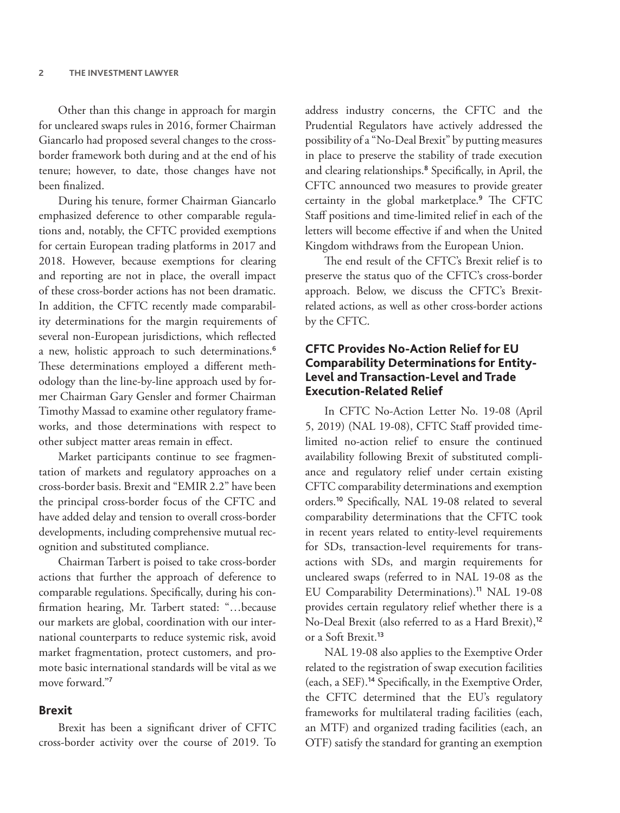Other than this change in approach for margin for uncleared swaps rules in 2016, former Chairman Giancarlo had proposed several changes to the crossborder framework both during and at the end of his tenure; however, to date, those changes have not been finalized.

During his tenure, former Chairman Giancarlo emphasized deference to other comparable regulations and, notably, the CFTC provided exemptions for certain European trading platforms in 2017 and 2018. However, because exemptions for clearing and reporting are not in place, the overall impact of these cross-border actions has not been dramatic. In addition, the CFTC recently made comparability determinations for the margin requirements of several non-European jurisdictions, which reflected a new, holistic approach to such determinations.<sup>6</sup> These determinations employed a different methodology than the line-by-line approach used by former Chairman Gary Gensler and former Chairman Timothy Massad to examine other regulatory frameworks, and those determinations with respect to other subject matter areas remain in effect.

Market participants continue to see fragmentation of markets and regulatory approaches on a cross-border basis. Brexit and "EMIR 2.2" have been the principal cross-border focus of the CFTC and have added delay and tension to overall cross-border developments, including comprehensive mutual recognition and substituted compliance.

Chairman Tarbert is poised to take cross-border actions that further the approach of deference to comparable regulations. Specifically, during his confirmation hearing, Mr. Tarbert stated: "…because our markets are global, coordination with our international counterparts to reduce systemic risk, avoid market fragmentation, protect customers, and promote basic international standards will be vital as we move forward."<sup>7</sup>

#### **Brexit**

Brexit has been a significant driver of CFTC cross-border activity over the course of 2019. To

address industry concerns, the CFTC and the Prudential Regulators have actively addressed the possibility of a "No-Deal Brexit" by putting measures in place to preserve the stability of trade execution and clearing relationships.<sup>8</sup> Specifically, in April, the CFTC announced two measures to provide greater certainty in the global marketplace.<sup>9</sup> The CFTC Staff positions and time-limited relief in each of the letters will become effective if and when the United Kingdom withdraws from the European Union.

The end result of the CFTC's Brexit relief is to preserve the status quo of the CFTC's cross-border approach. Below, we discuss the CFTC's Brexitrelated actions, as well as other cross-border actions by the CFTC.

#### **CFTC Provides No-Action Relief for EU Comparability Determinations for Entity-Level and Transaction-Level and Trade Execution-Related Relief**

In CFTC No-Action Letter No. 19-08 (April 5, 2019) (NAL 19-08), CFTC Staff provided timelimited no-action relief to ensure the continued availability following Brexit of substituted compliance and regulatory relief under certain existing CFTC comparability determinations and exemption orders.<sup>10</sup> Specifically, NAL 19-08 related to several comparability determinations that the CFTC took in recent years related to entity-level requirements for SDs, transaction-level requirements for transactions with SDs, and margin requirements for uncleared swaps (referred to in NAL 19-08 as the EU Comparability Determinations).<sup>11</sup> NAL 19-08 provides certain regulatory relief whether there is a No-Deal Brexit (also referred to as a Hard Brexit),<sup>12</sup> or a Soft Brexit.<sup>13</sup>

NAL 19-08 also applies to the Exemptive Order related to the registration of swap execution facilities (each, a SEF).<sup>14</sup> Specifically, in the Exemptive Order, the CFTC determined that the EU's regulatory frameworks for multilateral trading facilities (each, an MTF) and organized trading facilities (each, an OTF) satisfy the standard for granting an exemption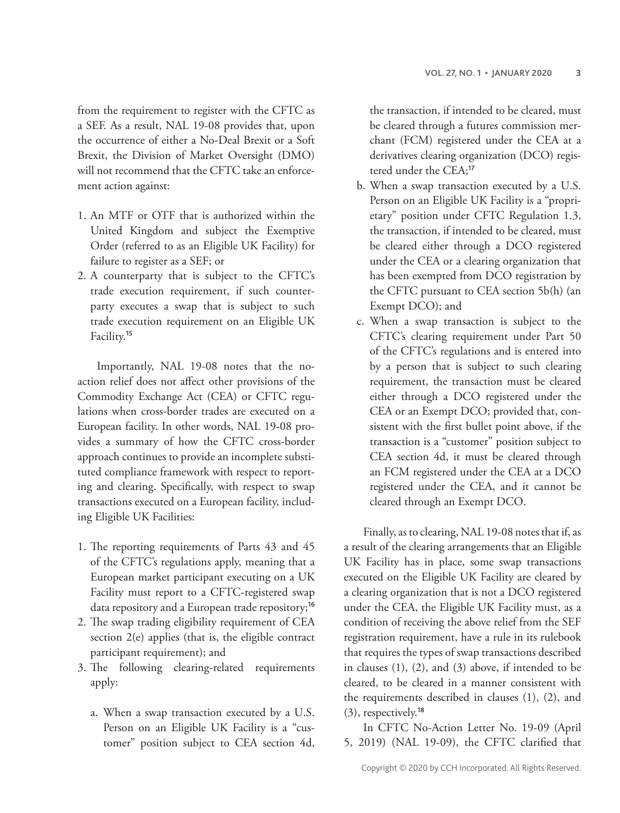from the requirement to register with the CFTC as a SEF. As a result, NAL 19-08 provides that, upon the occurrence of either a No-Deal Brexit or a Soft Brexit, the Division of Market Oversight (DMO) will not recommend that the CFTC take an enforcement action against:

- 1. An MTF or OTF that is authorized within the United Kingdom and subject the Exemptive Order (referred to as an Eligible UK Facility) for failure to register as a SEF; or
- 2. A counterparty that is subject to the CFTC's trade execution requirement, if such counterparty executes a swap that is subject to such trade execution requirement on an Eligible UK Facility.<sup>15</sup>

Importantly, NAL 19-08 notes that the noaction relief does not affect other provisions of the Commodity Exchange Act (CEA) or CFTC regulations when cross-border trades are executed on a European facility. In other words, NAL 19-08 provides a summary of how the CFTC cross-border approach continues to provide an incomplete substituted compliance framework with respect to reporting and clearing. Specifically, with respect to swap transactions executed on a European facility, including Eligible UK Facilities:

- 1. The reporting requirements of Parts 43 and 45 of the CFTC's regulations apply, meaning that a European market participant executing on a UK Facility must report to a CFTC-registered swap data repository and a European trade repository;<sup>16</sup>
- 2. The swap trading eligibility requirement of CEA section 2(e) applies (that is, the eligible contract participant requirement); and
- 3. The following clearing-related requirements apply:
	- a. When a swap transaction executed by a U.S. Person on an Eligible UK Facility is a "customer" position subject to CEA section 4d,

the transaction, if intended to be cleared, must be cleared through a futures commission merchant (FCM) registered under the CEA at a derivatives clearing organization (DCO) registered under the CEA;<sup>17</sup>

- b. When a swap transaction executed by a U.S. Person on an Eligible UK Facility is a "proprietary" position under CFTC Regulation 1.3, the transaction, if intended to be cleared, must be cleared either through a DCO registered under the CEA or a clearing organization that has been exempted from DCO registration by the CFTC pursuant to CEA section 5b(h) (an Exempt DCO); and
- c. When a swap transaction is subject to the CFTC's clearing requirement under Part 50 of the CFTC's regulations and is entered into by a person that is subject to such clearing requirement, the transaction must be cleared either through a DCO registered under the CEA or an Exempt DCO; provided that, consistent with the first bullet point above, if the transaction is a "customer" position subject to CEA section 4d, it must be cleared through an FCM registered under the CEA at a DCO registered under the CEA, and it cannot be cleared through an Exempt DCO.

Finally, as to clearing, NAL 19-08 notes that if, as a result of the clearing arrangements that an Eligible UK Facility has in place, some swap transactions executed on the Eligible UK Facility are cleared by a clearing organization that is not a DCO registered under the CEA, the Eligible UK Facility must, as a condition of receiving the above relief from the SEF registration requirement, have a rule in its rulebook that requires the types of swap transactions described in clauses (1), (2), and (3) above, if intended to be cleared, to be cleared in a manner consistent with the requirements described in clauses (1), (2), and (3), respectively.<sup>18</sup>

In CFTC No-Action Letter No. 19-09 (April 5, 2019) (NAL 19-09), the CFTC clarified that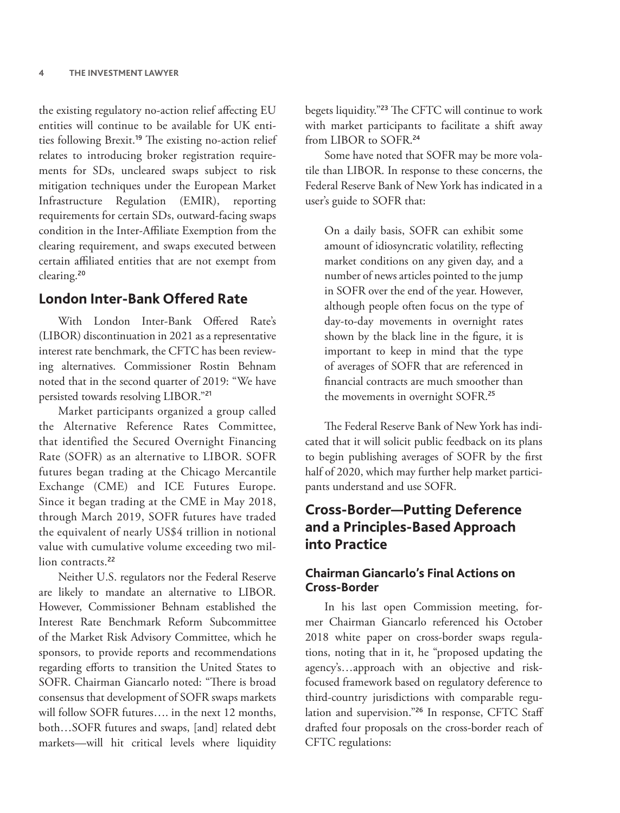the existing regulatory no-action relief affecting EU entities will continue to be available for UK entities following Brexit.<sup>19</sup> The existing no-action relief relates to introducing broker registration requirements for SDs, uncleared swaps subject to risk mitigation techniques under the European Market Infrastructure Regulation (EMIR), reporting requirements for certain SDs, outward-facing swaps condition in the Inter-Affiliate Exemption from the clearing requirement, and swaps executed between certain affiliated entities that are not exempt from clearing.<sup>20</sup>

# **London Inter-Bank Offered Rate**

With London Inter-Bank Offered Rate's (LIBOR) discontinuation in 2021 as a representative interest rate benchmark, the CFTC has been reviewing alternatives. Commissioner Rostin Behnam noted that in the second quarter of 2019: "We have persisted towards resolving LIBOR."<sup>21</sup>

Market participants organized a group called the Alternative Reference Rates Committee, that identified the Secured Overnight Financing Rate (SOFR) as an alternative to LIBOR. SOFR futures began trading at the Chicago Mercantile Exchange (CME) and ICE Futures Europe. Since it began trading at the CME in May 2018, through March 2019, SOFR futures have traded the equivalent of nearly US\$4 trillion in notional value with cumulative volume exceeding two million contracts<sup>22</sup>

Neither U.S. regulators nor the Federal Reserve are likely to mandate an alternative to LIBOR. However, Commissioner Behnam established the Interest Rate Benchmark Reform Subcommittee of the Market Risk Advisory Committee, which he sponsors, to provide reports and recommendations regarding efforts to transition the United States to SOFR. Chairman Giancarlo noted: "There is broad consensus that development of SOFR swaps markets will follow SOFR futures…. in the next 12 months, both…SOFR futures and swaps, [and] related debt markets—will hit critical levels where liquidity

begets liquidity."<sup>23</sup> The CFTC will continue to work with market participants to facilitate a shift away from LIBOR to SOFR.<sup>24</sup>

Some have noted that SOFR may be more volatile than LIBOR. In response to these concerns, the Federal Reserve Bank of New York has indicated in a user's guide to SOFR that:

On a daily basis, SOFR can exhibit some amount of idiosyncratic volatility, reflecting market conditions on any given day, and a number of news articles pointed to the jump in SOFR over the end of the year. However, although people often focus on the type of day-to-day movements in overnight rates shown by the black line in the figure, it is important to keep in mind that the type of averages of SOFR that are referenced in financial contracts are much smoother than the movements in overnight SOFR.<sup>25</sup>

The Federal Reserve Bank of New York has indicated that it will solicit public feedback on its plans to begin publishing averages of SOFR by the first half of 2020, which may further help market participants understand and use SOFR.

# **Cross-Border—Putting Deference and a Principles-Based Approach into Practice**

#### **Chairman Giancarlo's Final Actions on Cross-Border**

In his last open Commission meeting, former Chairman Giancarlo referenced his October 2018 white paper on cross-border swaps regulations, noting that in it, he "proposed updating the agency's…approach with an objective and riskfocused framework based on regulatory deference to third-country jurisdictions with comparable regulation and supervision."<sup>26</sup> In response, CFTC Staff drafted four proposals on the cross-border reach of CFTC regulations: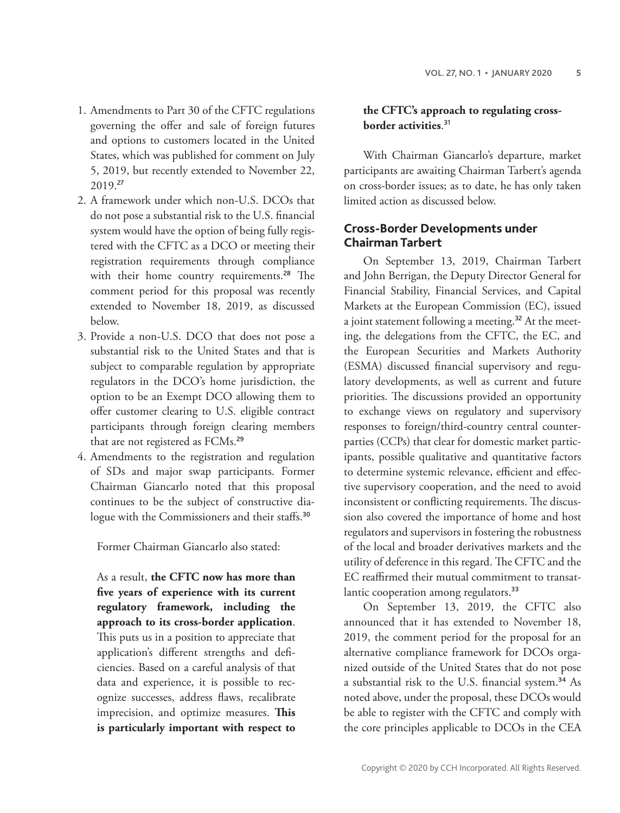- 1. Amendments to Part 30 of the CFTC regulations governing the offer and sale of foreign futures and options to customers located in the United States, which was published for comment on July 5, 2019, but recently extended to November 22, 2019.<sup>27</sup>
- 2. A framework under which non-U.S. DCOs that do not pose a substantial risk to the U.S. financial system would have the option of being fully registered with the CFTC as a DCO or meeting their registration requirements through compliance with their home country requirements.<sup>28</sup> The comment period for this proposal was recently extended to November 18, 2019, as discussed below.
- 3. Provide a non-U.S. DCO that does not pose a substantial risk to the United States and that is subject to comparable regulation by appropriate regulators in the DCO's home jurisdiction, the option to be an Exempt DCO allowing them to offer customer clearing to U.S. eligible contract participants through foreign clearing members that are not registered as FCMs.<sup>29</sup>
- 4. Amendments to the registration and regulation of SDs and major swap participants. Former Chairman Giancarlo noted that this proposal continues to be the subject of constructive dialogue with the Commissioners and their staffs.<sup>30</sup>

Former Chairman Giancarlo also stated:

As a result, **the CFTC now has more than five years of experience with its current regulatory framework, including the approach to its cross-border application**. This puts us in a position to appreciate that application's different strengths and deficiencies. Based on a careful analysis of that data and experience, it is possible to recognize successes, address flaws, recalibrate imprecision, and optimize measures. **This is particularly important with respect to** 

#### **the CFTC's approach to regulating crossborder activities**. 31

With Chairman Giancarlo's departure, market participants are awaiting Chairman Tarbert's agenda on cross-border issues; as to date, he has only taken limited action as discussed below.

#### **Cross-Border Developments under Chairman Tarbert**

On September 13, 2019, Chairman Tarbert and John Berrigan, the Deputy Director General for Financial Stability, Financial Services, and Capital Markets at the European Commission (EC), issued a joint statement following a meeting.<sup>32</sup> At the meeting, the delegations from the CFTC, the EC, and the European Securities and Markets Authority (ESMA) discussed financial supervisory and regulatory developments, as well as current and future priorities. The discussions provided an opportunity to exchange views on regulatory and supervisory responses to foreign/third-country central counterparties (CCPs) that clear for domestic market participants, possible qualitative and quantitative factors to determine systemic relevance, efficient and effective supervisory cooperation, and the need to avoid inconsistent or conflicting requirements. The discussion also covered the importance of home and host regulators and supervisors in fostering the robustness of the local and broader derivatives markets and the utility of deference in this regard. The CFTC and the EC reaffirmed their mutual commitment to transatlantic cooperation among regulators.<sup>33</sup>

On September 13, 2019, the CFTC also announced that it has extended to November 18, 2019, the comment period for the proposal for an alternative compliance framework for DCOs organized outside of the United States that do not pose a substantial risk to the U.S. financial system.<sup>34</sup> As noted above, under the proposal, these DCOs would be able to register with the CFTC and comply with the core principles applicable to DCOs in the CEA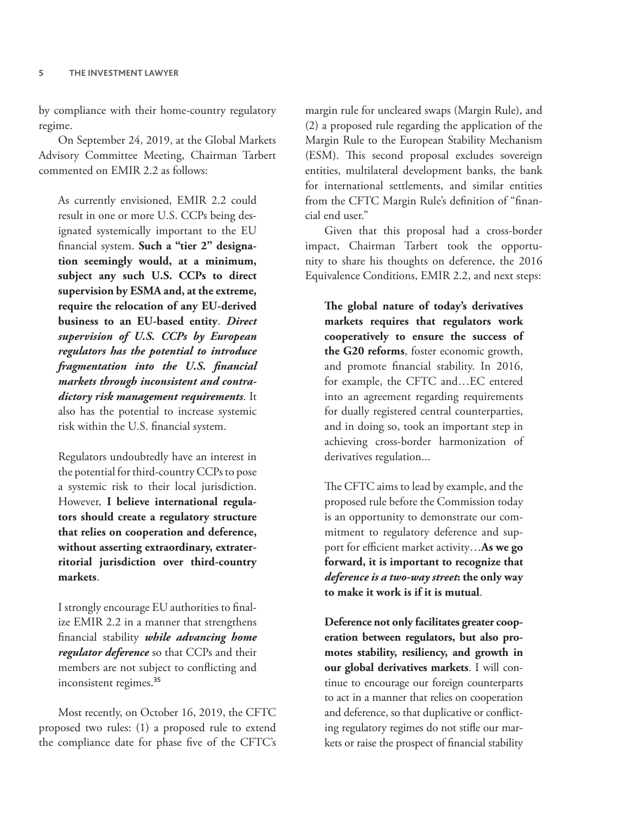by compliance with their home-country regulatory regime.

On September 24, 2019, at the Global Markets Advisory Committee Meeting, Chairman Tarbert commented on EMIR 2.2 as follows:

As currently envisioned, EMIR 2.2 could result in one or more U.S. CCPs being designated systemically important to the EU financial system. **Such a "tier 2" designation seemingly would, at a minimum, subject any such U.S. CCPs to direct supervision by ESMA and, at the extreme, require the relocation of any EU-derived business to an EU-based entity**. *Direct supervision of U.S. CCPs by European regulators has the potential to introduce fragmentation into the U.S. financial markets through inconsistent and contradictory risk management requirements*. It also has the potential to increase systemic risk within the U.S. financial system.

Regulators undoubtedly have an interest in the potential for third-country CCPs to pose a systemic risk to their local jurisdiction. However, **I believe international regulators should create a regulatory structure that relies on cooperation and deference, without asserting extraordinary, extraterritorial jurisdiction over third-country markets**.

I strongly encourage EU authorities to finalize EMIR 2.2 in a manner that strengthens financial stability *while advancing home regulator deference* so that CCPs and their members are not subject to conflicting and inconsistent regimes.<sup>35</sup>

Most recently, on October 16, 2019, the CFTC proposed two rules: (1) a proposed rule to extend the compliance date for phase five of the CFTC's

margin rule for uncleared swaps (Margin Rule), and (2) a proposed rule regarding the application of the Margin Rule to the European Stability Mechanism (ESM). This second proposal excludes sovereign entities, multilateral development banks, the bank for international settlements, and similar entities from the CFTC Margin Rule's definition of "financial end user."

Given that this proposal had a cross-border impact, Chairman Tarbert took the opportunity to share his thoughts on deference, the 2016 Equivalence Conditions, EMIR 2.2, and next steps:

**The global nature of today's derivatives markets requires that regulators work cooperatively to ensure the success of the G20 reforms**, foster economic growth, and promote financial stability. In 2016, for example, the CFTC and…EC entered into an agreement regarding requirements for dually registered central counterparties, and in doing so, took an important step in achieving cross-border harmonization of derivatives regulation...

The CFTC aims to lead by example, and the proposed rule before the Commission today is an opportunity to demonstrate our commitment to regulatory deference and support for efficient market activity…**As we go forward, it is important to recognize that**  *deference is a two-way street***: the only way to make it work is if it is mutual**.

**Deference not only facilitates greater cooperation between regulators, but also promotes stability, resiliency, and growth in our global derivatives markets**. I will continue to encourage our foreign counterparts to act in a manner that relies on cooperation and deference, so that duplicative or conflicting regulatory regimes do not stifle our markets or raise the prospect of financial stability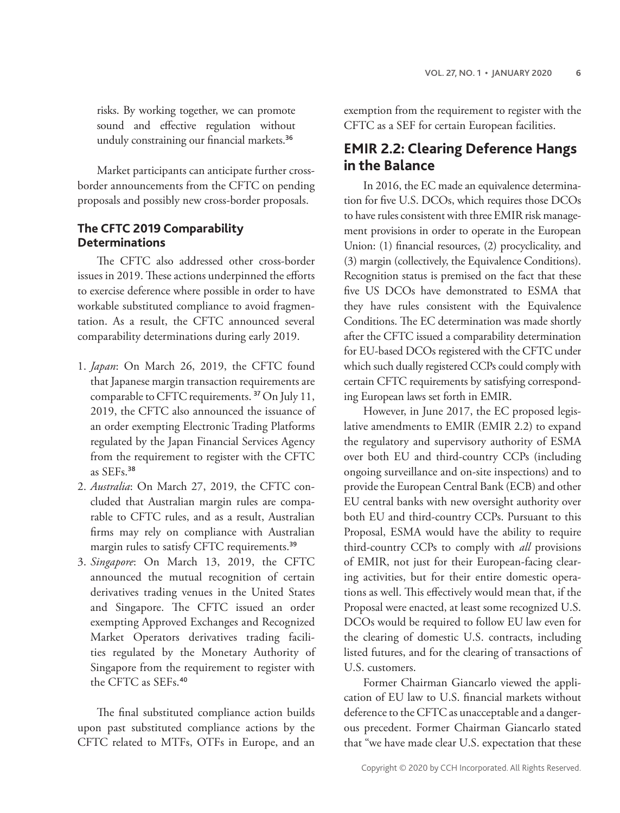risks. By working together, we can promote sound and effective regulation without unduly constraining our financial markets.<sup>36</sup>

Market participants can anticipate further crossborder announcements from the CFTC on pending proposals and possibly new cross-border proposals.

#### **The CFTC 2019 Comparability Determinations**

The CFTC also addressed other cross-border issues in 2019. These actions underpinned the efforts to exercise deference where possible in order to have workable substituted compliance to avoid fragmentation. As a result, the CFTC announced several comparability determinations during early 2019.

- 1. *Japan*: On March 26, 2019, the CFTC found that Japanese margin transaction requirements are comparable to CFTC requirements. <sup>37</sup> On July 11, 2019, the CFTC also announced the issuance of an order exempting Electronic Trading Platforms regulated by the Japan Financial Services Agency from the requirement to register with the CFTC as SEFs.<sup>38</sup>
- 2. *Australia*: On March 27, 2019, the CFTC concluded that Australian margin rules are comparable to CFTC rules, and as a result, Australian firms may rely on compliance with Australian margin rules to satisfy CFTC requirements.<sup>39</sup>
- 3. *Singapore*: On March 13, 2019, the CFTC announced the mutual recognition of certain derivatives trading venues in the United States and Singapore. The CFTC issued an order exempting Approved Exchanges and Recognized Market Operators derivatives trading facilities regulated by the Monetary Authority of Singapore from the requirement to register with the CFTC as SEFs.<sup>40</sup>

The final substituted compliance action builds upon past substituted compliance actions by the CFTC related to MTFs, OTFs in Europe, and an

exemption from the requirement to register with the CFTC as a SEF for certain European facilities.

# **EMIR 2.2: Clearing Deference Hangs in the Balance**

In 2016, the EC made an equivalence determination for five U.S. DCOs, which requires those DCOs to have rules consistent with three EMIR risk management provisions in order to operate in the European Union: (1) financial resources, (2) procyclicality, and (3) margin (collectively, the Equivalence Conditions). Recognition status is premised on the fact that these five US DCOs have demonstrated to ESMA that they have rules consistent with the Equivalence Conditions. The EC determination was made shortly after the CFTC issued a comparability determination for EU-based DCOs registered with the CFTC under which such dually registered CCPs could comply with certain CFTC requirements by satisfying corresponding European laws set forth in EMIR.

However, in June 2017, the EC proposed legislative amendments to EMIR (EMIR 2.2) to expand the regulatory and supervisory authority of ESMA over both EU and third-country CCPs (including ongoing surveillance and on-site inspections) and to provide the European Central Bank (ECB) and other EU central banks with new oversight authority over both EU and third-country CCPs. Pursuant to this Proposal, ESMA would have the ability to require third-country CCPs to comply with *all* provisions of EMIR, not just for their European-facing clearing activities, but for their entire domestic operations as well. This effectively would mean that, if the Proposal were enacted, at least some recognized U.S. DCOs would be required to follow EU law even for the clearing of domestic U.S. contracts, including listed futures, and for the clearing of transactions of U.S. customers.

Former Chairman Giancarlo viewed the application of EU law to U.S. financial markets without deference to the CFTC as unacceptable and a dangerous precedent. Former Chairman Giancarlo stated that "we have made clear U.S. expectation that these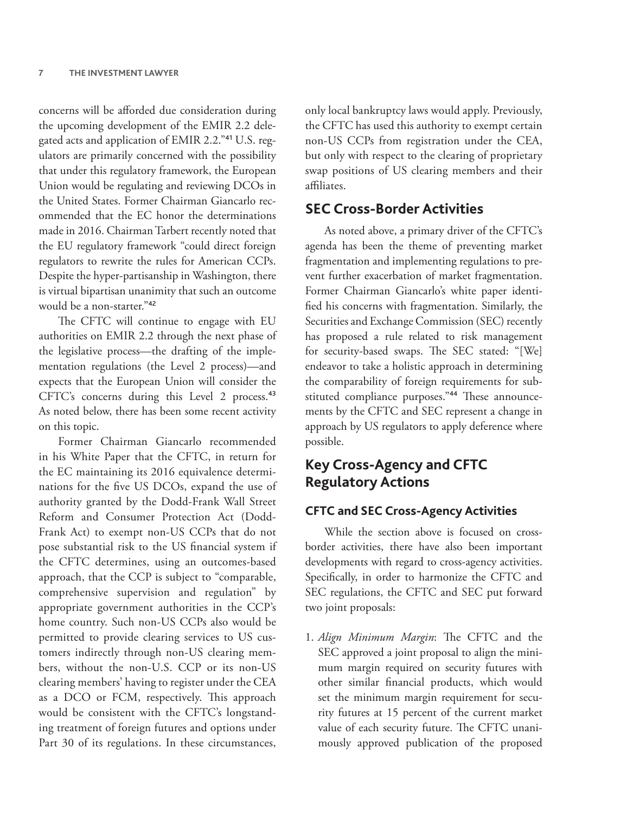concerns will be afforded due consideration during the upcoming development of the EMIR 2.2 delegated acts and application of EMIR 2.2."41 U.S. regulators are primarily concerned with the possibility that under this regulatory framework, the European Union would be regulating and reviewing DCOs in the United States. Former Chairman Giancarlo recommended that the EC honor the determinations made in 2016. Chairman Tarbert recently noted that the EU regulatory framework "could direct foreign regulators to rewrite the rules for American CCPs. Despite the hyper-partisanship in Washington, there is virtual bipartisan unanimity that such an outcome would be a non-starter."<sup>42</sup>

The CFTC will continue to engage with EU authorities on EMIR 2.2 through the next phase of the legislative process—the drafting of the implementation regulations (the Level 2 process)—and expects that the European Union will consider the CFTC's concerns during this Level 2 process.<sup>43</sup> As noted below, there has been some recent activity on this topic.

Former Chairman Giancarlo recommended in his White Paper that the CFTC, in return for the EC maintaining its 2016 equivalence determinations for the five US DCOs, expand the use of authority granted by the Dodd-Frank Wall Street Reform and Consumer Protection Act (Dodd-Frank Act) to exempt non-US CCPs that do not pose substantial risk to the US financial system if the CFTC determines, using an outcomes-based approach, that the CCP is subject to "comparable, comprehensive supervision and regulation" by appropriate government authorities in the CCP's home country. Such non-US CCPs also would be permitted to provide clearing services to US customers indirectly through non-US clearing members, without the non-U.S. CCP or its non-US clearing members' having to register under the CEA as a DCO or FCM, respectively. This approach would be consistent with the CFTC's longstanding treatment of foreign futures and options under Part 30 of its regulations. In these circumstances,

only local bankruptcy laws would apply. Previously, the CFTC has used this authority to exempt certain non-US CCPs from registration under the CEA, but only with respect to the clearing of proprietary swap positions of US clearing members and their affiliates.

## **SEC Cross-Border Activities**

As noted above, a primary driver of the CFTC's agenda has been the theme of preventing market fragmentation and implementing regulations to prevent further exacerbation of market fragmentation. Former Chairman Giancarlo's white paper identified his concerns with fragmentation. Similarly, the Securities and Exchange Commission (SEC) recently has proposed a rule related to risk management for security-based swaps. The SEC stated: "[We] endeavor to take a holistic approach in determining the comparability of foreign requirements for substituted compliance purposes."44 These announcements by the CFTC and SEC represent a change in approach by US regulators to apply deference where possible.

# **Key Cross-Agency and CFTC Regulatory Actions**

#### **CFTC and SEC Cross-Agency Activities**

While the section above is focused on crossborder activities, there have also been important developments with regard to cross-agency activities. Specifically, in order to harmonize the CFTC and SEC regulations, the CFTC and SEC put forward two joint proposals:

1. *Align Minimum Margin*: The CFTC and the SEC approved a joint proposal to align the minimum margin required on security futures with other similar financial products, which would set the minimum margin requirement for security futures at 15 percent of the current market value of each security future. The CFTC unanimously approved publication of the proposed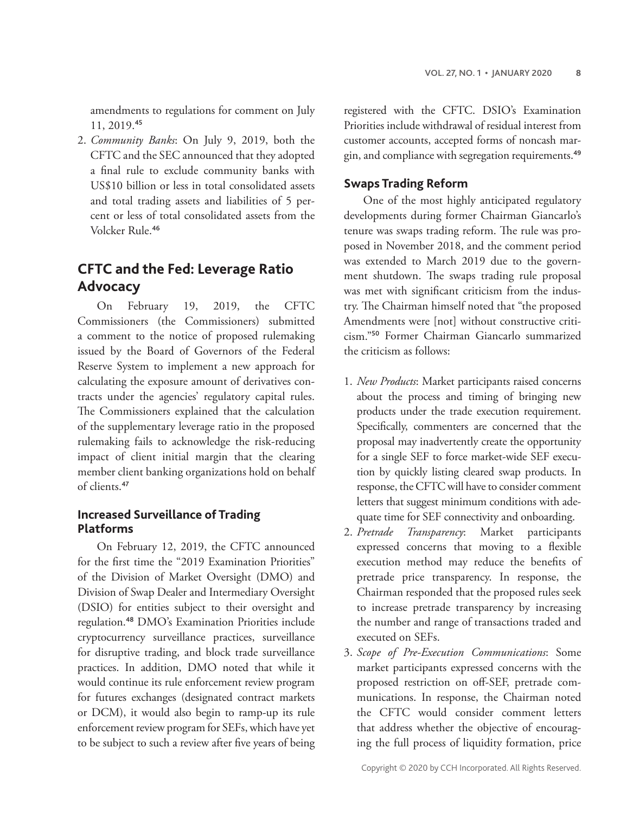amendments to regulations for comment on July 11, 2019.<sup>45</sup>

2. *Community Banks*: On July 9, 2019, both the CFTC and the SEC announced that they adopted a final rule to exclude community banks with US\$10 billion or less in total consolidated assets and total trading assets and liabilities of 5 percent or less of total consolidated assets from the Volcker Rule.<sup>46</sup>

# **CFTC and the Fed: Leverage Ratio Advocacy**

On February 19, 2019, the CFTC Commissioners (the Commissioners) submitted a comment to the notice of proposed rulemaking issued by the Board of Governors of the Federal Reserve System to implement a new approach for calculating the exposure amount of derivatives contracts under the agencies' regulatory capital rules. The Commissioners explained that the calculation of the supplementary leverage ratio in the proposed rulemaking fails to acknowledge the risk-reducing impact of client initial margin that the clearing member client banking organizations hold on behalf of clients.<sup>47</sup>

#### **Increased Surveillance of Trading Platforms**

On February 12, 2019, the CFTC announced for the first time the "2019 Examination Priorities" of the Division of Market Oversight (DMO) and Division of Swap Dealer and Intermediary Oversight (DSIO) for entities subject to their oversight and regulation.<sup>48</sup> DMO's Examination Priorities include cryptocurrency surveillance practices, surveillance for disruptive trading, and block trade surveillance practices. In addition, DMO noted that while it would continue its rule enforcement review program for futures exchanges (designated contract markets or DCM), it would also begin to ramp-up its rule enforcement review program for SEFs, which have yet to be subject to such a review after five years of being registered with the CFTC. DSIO's Examination Priorities include withdrawal of residual interest from customer accounts, accepted forms of noncash margin, and compliance with segregation requirements.<sup>49</sup>

#### **Swaps Trading Reform**

One of the most highly anticipated regulatory developments during former Chairman Giancarlo's tenure was swaps trading reform. The rule was proposed in November 2018, and the comment period was extended to March 2019 due to the government shutdown. The swaps trading rule proposal was met with significant criticism from the industry. The Chairman himself noted that "the proposed Amendments were [not] without constructive criticism."<sup>50</sup> Former Chairman Giancarlo summarized the criticism as follows:

- 1. *New Products*: Market participants raised concerns about the process and timing of bringing new products under the trade execution requirement. Specifically, commenters are concerned that the proposal may inadvertently create the opportunity for a single SEF to force market-wide SEF execution by quickly listing cleared swap products. In response, the CFTC will have to consider comment letters that suggest minimum conditions with adequate time for SEF connectivity and onboarding.
- 2. *Pretrade Transparency*: Market participants expressed concerns that moving to a flexible execution method may reduce the benefits of pretrade price transparency. In response, the Chairman responded that the proposed rules seek to increase pretrade transparency by increasing the number and range of transactions traded and executed on SEFs.
- 3. *Scope of Pre-Execution Communications*: Some market participants expressed concerns with the proposed restriction on off-SEF, pretrade communications. In response, the Chairman noted the CFTC would consider comment letters that address whether the objective of encouraging the full process of liquidity formation, price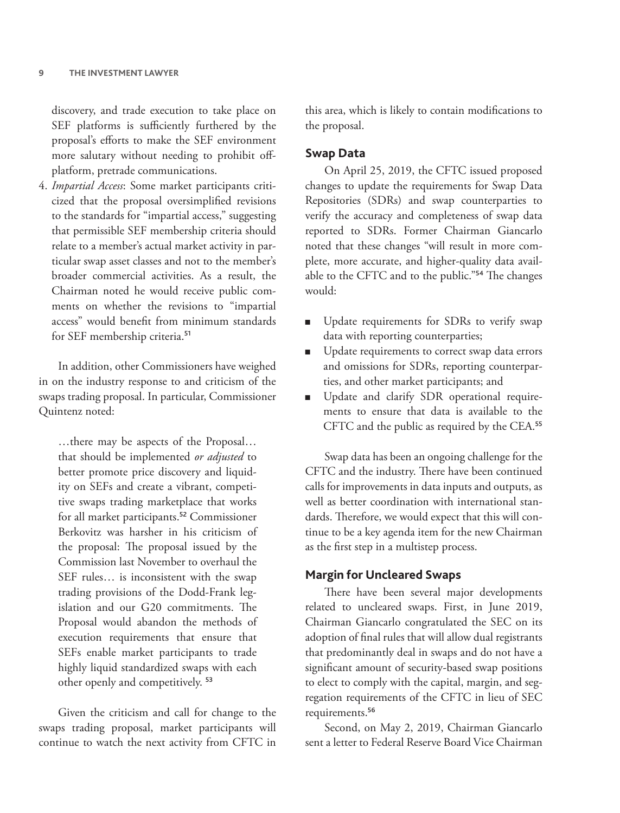discovery, and trade execution to take place on SEF platforms is sufficiently furthered by the proposal's efforts to make the SEF environment more salutary without needing to prohibit offplatform, pretrade communications.

4. *Impartial Access*: Some market participants criticized that the proposal oversimplified revisions to the standards for "impartial access," suggesting that permissible SEF membership criteria should relate to a member's actual market activity in particular swap asset classes and not to the member's broader commercial activities. As a result, the Chairman noted he would receive public comments on whether the revisions to "impartial access" would benefit from minimum standards for SEF membership criteria.<sup>51</sup>

In addition, other Commissioners have weighed in on the industry response to and criticism of the swaps trading proposal. In particular, Commissioner Quintenz noted:

…there may be aspects of the Proposal… that should be implemented *or adjusted* to better promote price discovery and liquidity on SEFs and create a vibrant, competitive swaps trading marketplace that works for all market participants.<sup>52</sup> Commissioner Berkovitz was harsher in his criticism of the proposal: The proposal issued by the Commission last November to overhaul the SEF rules… is inconsistent with the swap trading provisions of the Dodd-Frank legislation and our G20 commitments. The Proposal would abandon the methods of execution requirements that ensure that SEFs enable market participants to trade highly liquid standardized swaps with each other openly and competitively. <sup>53</sup>

Given the criticism and call for change to the swaps trading proposal, market participants will continue to watch the next activity from CFTC in

this area, which is likely to contain modifications to the proposal.

#### **Swap Data**

On April 25, 2019, the CFTC issued proposed changes to update the requirements for Swap Data Repositories (SDRs) and swap counterparties to verify the accuracy and completeness of swap data reported to SDRs. Former Chairman Giancarlo noted that these changes "will result in more complete, more accurate, and higher-quality data available to the CFTC and to the public."<sup>54</sup> The changes would:

- Update requirements for SDRs to verify swap data with reporting counterparties;
- Update requirements to correct swap data errors and omissions for SDRs, reporting counterparties, and other market participants; and
- Update and clarify SDR operational requirements to ensure that data is available to the CFTC and the public as required by the CEA.<sup>55</sup>

Swap data has been an ongoing challenge for the CFTC and the industry. There have been continued calls for improvements in data inputs and outputs, as well as better coordination with international standards. Therefore, we would expect that this will continue to be a key agenda item for the new Chairman as the first step in a multistep process.

#### **Margin for Uncleared Swaps**

There have been several major developments related to uncleared swaps. First, in June 2019, Chairman Giancarlo congratulated the SEC on its adoption of final rules that will allow dual registrants that predominantly deal in swaps and do not have a significant amount of security-based swap positions to elect to comply with the capital, margin, and segregation requirements of the CFTC in lieu of SEC requirements.<sup>56</sup>

Second, on May 2, 2019, Chairman Giancarlo sent a letter to Federal Reserve Board Vice Chairman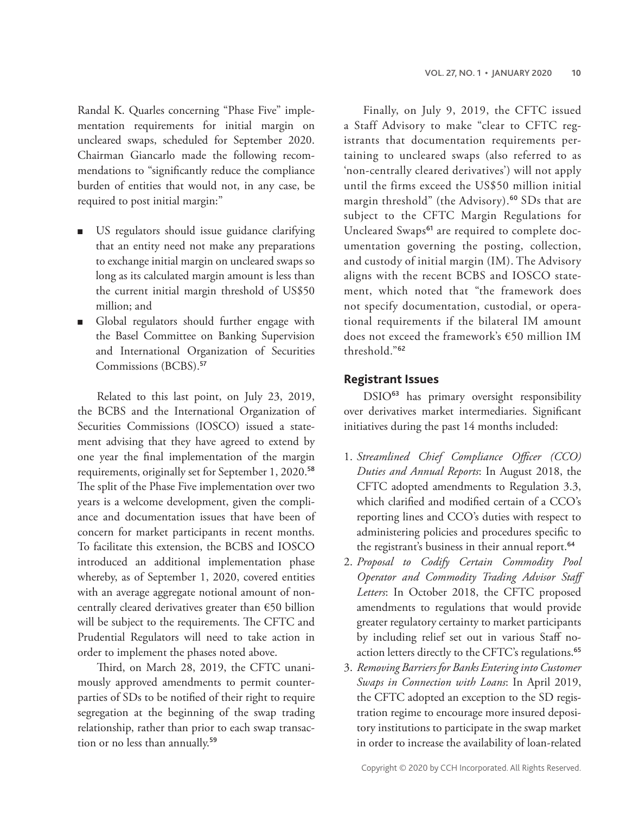Randal K. Quarles concerning "Phase Five" implementation requirements for initial margin on uncleared swaps, scheduled for September 2020. Chairman Giancarlo made the following recommendations to "significantly reduce the compliance burden of entities that would not, in any case, be required to post initial margin:"

- US regulators should issue guidance clarifying that an entity need not make any preparations to exchange initial margin on uncleared swaps so long as its calculated margin amount is less than the current initial margin threshold of US\$50 million; and
- Global regulators should further engage with the Basel Committee on Banking Supervision and International Organization of Securities Commissions (BCBS).<sup>57</sup>

Related to this last point, on July 23, 2019, the BCBS and the International Organization of Securities Commissions (IOSCO) issued a statement advising that they have agreed to extend by one year the final implementation of the margin requirements, originally set for September 1, 2020.<sup>58</sup> The split of the Phase Five implementation over two years is a welcome development, given the compliance and documentation issues that have been of concern for market participants in recent months. To facilitate this extension, the BCBS and IOSCO introduced an additional implementation phase whereby, as of September 1, 2020, covered entities with an average aggregate notional amount of noncentrally cleared derivatives greater than €50 billion will be subject to the requirements. The CFTC and Prudential Regulators will need to take action in order to implement the phases noted above.

Third, on March 28, 2019, the CFTC unanimously approved amendments to permit counterparties of SDs to be notified of their right to require segregation at the beginning of the swap trading relationship, rather than prior to each swap transaction or no less than annually.<sup>59</sup>

Finally, on July 9, 2019, the CFTC issued a Staff Advisory to make "clear to CFTC registrants that documentation requirements pertaining to uncleared swaps (also referred to as 'non-centrally cleared derivatives') will not apply until the firms exceed the US\$50 million initial margin threshold" (the Advisory).<sup>60</sup> SDs that are subject to the CFTC Margin Regulations for Uncleared Swaps<sup>61</sup> are required to complete documentation governing the posting, collection, and custody of initial margin (IM). The Advisory aligns with the recent BCBS and IOSCO statement, which noted that "the framework does not specify documentation, custodial, or operational requirements if the bilateral IM amount does not exceed the framework's €50 million IM threshold."<sup>62</sup>

#### **Registrant Issues**

DSIO<sup>63</sup> has primary oversight responsibility over derivatives market intermediaries. Significant initiatives during the past 14 months included:

- 1. *Streamlined Chief Compliance Officer (CCO) Duties and Annual Reports*: In August 2018, the CFTC adopted amendments to Regulation 3.3, which clarified and modified certain of a CCO's reporting lines and CCO's duties with respect to administering policies and procedures specific to the registrant's business in their annual report.<sup>64</sup>
- 2. *Proposal to Codify Certain Commodity Pool Operator and Commodity Trading Advisor Staff Letters*: In October 2018, the CFTC proposed amendments to regulations that would provide greater regulatory certainty to market participants by including relief set out in various Staff noaction letters directly to the CFTC's regulations.<sup>65</sup>
- 3. *Removing Barriers for Banks Entering into Customer Swaps in Connection with Loans*: In April 2019, the CFTC adopted an exception to the SD registration regime to encourage more insured depository institutions to participate in the swap market in order to increase the availability of loan-related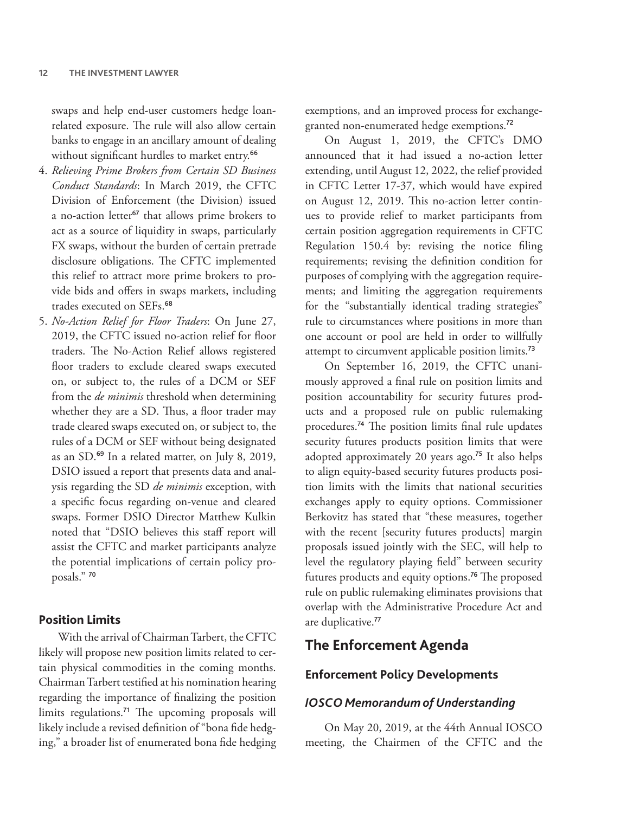swaps and help end-user customers hedge loanrelated exposure. The rule will also allow certain banks to engage in an ancillary amount of dealing without significant hurdles to market entry.<sup>66</sup>

- 4. *Relieving Prime Brokers from Certain SD Business Conduct Standards*: In March 2019, the CFTC Division of Enforcement (the Division) issued a no-action letter<sup>67</sup> that allows prime brokers to act as a source of liquidity in swaps, particularly FX swaps, without the burden of certain pretrade disclosure obligations. The CFTC implemented this relief to attract more prime brokers to provide bids and offers in swaps markets, including trades executed on SEFs.<sup>68</sup>
- 5. *No-Action Relief for Floor Traders*: On June 27, 2019, the CFTC issued no-action relief for floor traders. The No-Action Relief allows registered floor traders to exclude cleared swaps executed on, or subject to, the rules of a DCM or SEF from the *de minimis* threshold when determining whether they are a SD. Thus, a floor trader may trade cleared swaps executed on, or subject to, the rules of a DCM or SEF without being designated as an SD.<sup>69</sup> In a related matter, on July 8, 2019, DSIO issued a report that presents data and analysis regarding the SD *de minimis* exception, with a specific focus regarding on-venue and cleared swaps. Former DSIO Director Matthew Kulkin noted that "DSIO believes this staff report will assist the CFTC and market participants analyze the potential implications of certain policy proposals." <sup>70</sup>

#### **Position Limits**

With the arrival of Chairman Tarbert, the CFTC likely will propose new position limits related to certain physical commodities in the coming months. Chairman Tarbert testified at his nomination hearing regarding the importance of finalizing the position limits regulations.<sup>71</sup> The upcoming proposals will likely include a revised definition of "bona fide hedging," a broader list of enumerated bona fide hedging exemptions, and an improved process for exchangegranted non-enumerated hedge exemptions.<sup>72</sup>

On August 1, 2019, the CFTC's DMO announced that it had issued a no-action letter extending, until August 12, 2022, the relief provided in CFTC Letter 17-37, which would have expired on August 12, 2019. This no-action letter continues to provide relief to market participants from certain position aggregation requirements in CFTC Regulation 150.4 by: revising the notice filing requirements; revising the definition condition for purposes of complying with the aggregation requirements; and limiting the aggregation requirements for the "substantially identical trading strategies" rule to circumstances where positions in more than one account or pool are held in order to willfully attempt to circumvent applicable position limits.<sup>73</sup>

On September 16, 2019, the CFTC unanimously approved a final rule on position limits and position accountability for security futures products and a proposed rule on public rulemaking procedures.<sup>74</sup> The position limits final rule updates security futures products position limits that were adopted approximately 20 years ago.<sup>75</sup> It also helps to align equity-based security futures products position limits with the limits that national securities exchanges apply to equity options. Commissioner Berkovitz has stated that "these measures, together with the recent [security futures products] margin proposals issued jointly with the SEC, will help to level the regulatory playing field" between security futures products and equity options.<sup>76</sup> The proposed rule on public rulemaking eliminates provisions that overlap with the Administrative Procedure Act and are duplicative.<sup>77</sup>

#### **The Enforcement Agenda**

#### **Enforcement Policy Developments**

#### *IOSCO Memorandum of Understanding*

On May 20, 2019, at the 44th Annual IOSCO meeting, the Chairmen of the CFTC and the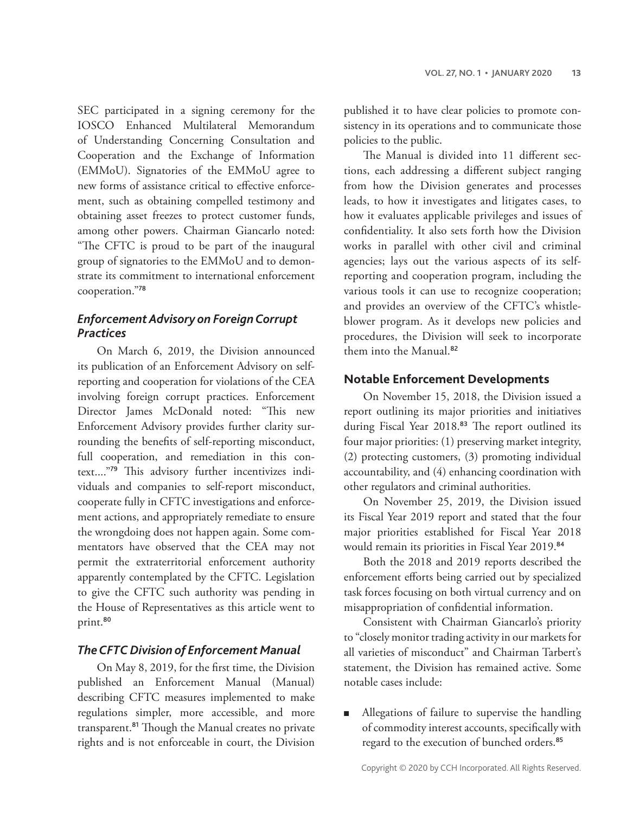SEC participated in a signing ceremony for the IOSCO Enhanced Multilateral Memorandum of Understanding Concerning Consultation and Cooperation and the Exchange of Information (EMMoU). Signatories of the EMMoU agree to new forms of assistance critical to effective enforcement, such as obtaining compelled testimony and obtaining asset freezes to protect customer funds, among other powers. Chairman Giancarlo noted: "The CFTC is proud to be part of the inaugural group of signatories to the EMMoU and to demonstrate its commitment to international enforcement cooperation."<sup>78</sup>

#### *Enforcement Advisory on Foreign Corrupt Practices*

On March 6, 2019, the Division announced its publication of an Enforcement Advisory on selfreporting and cooperation for violations of the CEA involving foreign corrupt practices. Enforcement Director James McDonald noted: "This new Enforcement Advisory provides further clarity surrounding the benefits of self-reporting misconduct, full cooperation, and remediation in this context...."79 This advisory further incentivizes individuals and companies to self-report misconduct, cooperate fully in CFTC investigations and enforcement actions, and appropriately remediate to ensure the wrongdoing does not happen again. Some commentators have observed that the CEA may not permit the extraterritorial enforcement authority apparently contemplated by the CFTC. Legislation to give the CFTC such authority was pending in the House of Representatives as this article went to print.<sup>80</sup>

#### *The CFTC Division of Enforcement Manual*

On May 8, 2019, for the first time, the Division published an Enforcement Manual (Manual) describing CFTC measures implemented to make regulations simpler, more accessible, and more transparent.<sup>81</sup> Though the Manual creates no private rights and is not enforceable in court, the Division

published it to have clear policies to promote consistency in its operations and to communicate those policies to the public.

The Manual is divided into 11 different sections, each addressing a different subject ranging from how the Division generates and processes leads, to how it investigates and litigates cases, to how it evaluates applicable privileges and issues of confidentiality. It also sets forth how the Division works in parallel with other civil and criminal agencies; lays out the various aspects of its selfreporting and cooperation program, including the various tools it can use to recognize cooperation; and provides an overview of the CFTC's whistleblower program. As it develops new policies and procedures, the Division will seek to incorporate them into the Manual.<sup>82</sup>

#### **Notable Enforcement Developments**

On November 15, 2018, the Division issued a report outlining its major priorities and initiatives during Fiscal Year 2018.<sup>83</sup> The report outlined its four major priorities: (1) preserving market integrity, (2) protecting customers, (3) promoting individual accountability, and (4) enhancing coordination with other regulators and criminal authorities.

On November 25, 2019, the Division issued its Fiscal Year 2019 report and stated that the four major priorities established for Fiscal Year 2018 would remain its priorities in Fiscal Year 2019.<sup>84</sup>

Both the 2018 and 2019 reports described the enforcement efforts being carried out by specialized task forces focusing on both virtual currency and on misappropriation of confidential information.

Consistent with Chairman Giancarlo's priority to "closely monitor trading activity in our markets for all varieties of misconduct" and Chairman Tarbert's statement, the Division has remained active. Some notable cases include:

■ Allegations of failure to supervise the handling of commodity interest accounts, specifically with regard to the execution of bunched orders.85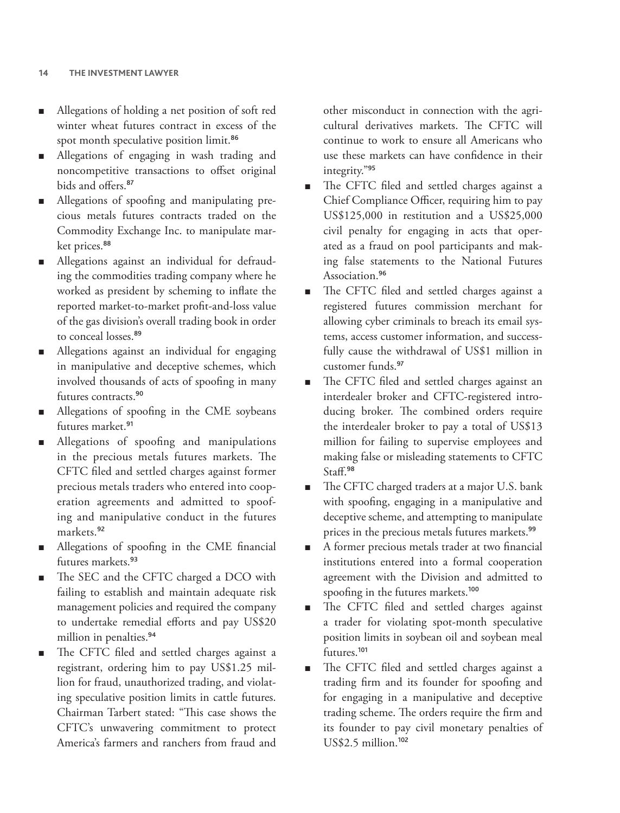- Allegations of holding a net position of soft red winter wheat futures contract in excess of the spot month speculative position limit.<sup>86</sup>
- Allegations of engaging in wash trading and noncompetitive transactions to offset original bids and offers.<sup>87</sup>
- Allegations of spoofing and manipulating precious metals futures contracts traded on the Commodity Exchange Inc. to manipulate market prices.<sup>88</sup>
- Allegations against an individual for defrauding the commodities trading company where he worked as president by scheming to inflate the reported market-to-market profit-and-loss value of the gas division's overall trading book in order to conceal losses.<sup>89</sup>
- Allegations against an individual for engaging in manipulative and deceptive schemes, which involved thousands of acts of spoofing in many futures contracts.<sup>90</sup>
- Allegations of spoofing in the CME soybeans futures market.<sup>91</sup>
- Allegations of spoofing and manipulations in the precious metals futures markets. The CFTC filed and settled charges against former precious metals traders who entered into cooperation agreements and admitted to spoofing and manipulative conduct in the futures markets.<sup>92</sup>
- Allegations of spoofing in the CME financial futures markets.<sup>93</sup>
- The SEC and the CFTC charged a DCO with failing to establish and maintain adequate risk management policies and required the company to undertake remedial efforts and pay US\$20 million in penalties.<sup>94</sup>
- The CFTC filed and settled charges against a registrant, ordering him to pay US\$1.25 million for fraud, unauthorized trading, and violating speculative position limits in cattle futures. Chairman Tarbert stated: "This case shows the CFTC's unwavering commitment to protect America's farmers and ranchers from fraud and

other misconduct in connection with the agricultural derivatives markets. The CFTC will continue to work to ensure all Americans who use these markets can have confidence in their integrity."<sup>95</sup>

- The CFTC filed and settled charges against a Chief Compliance Officer, requiring him to pay US\$125,000 in restitution and a US\$25,000 civil penalty for engaging in acts that operated as a fraud on pool participants and making false statements to the National Futures Association.<sup>96</sup>
- The CFTC filed and settled charges against a registered futures commission merchant for allowing cyber criminals to breach its email systems, access customer information, and successfully cause the withdrawal of US\$1 million in customer funds.<sup>97</sup>
- The CFTC filed and settled charges against an interdealer broker and CFTC-registered introducing broker. The combined orders require the interdealer broker to pay a total of US\$13 million for failing to supervise employees and making false or misleading statements to CFTC Staff.<sup>98</sup>
- The CFTC charged traders at a major U.S. bank with spoofing, engaging in a manipulative and deceptive scheme, and attempting to manipulate prices in the precious metals futures markets.<sup>99</sup>
- A former precious metals trader at two financial institutions entered into a formal cooperation agreement with the Division and admitted to spoofing in the futures markets.<sup>100</sup>
- The CFTC filed and settled charges against a trader for violating spot-month speculative position limits in soybean oil and soybean meal futures.<sup>101</sup>
- The CFTC filed and settled charges against a trading firm and its founder for spoofing and for engaging in a manipulative and deceptive trading scheme. The orders require the firm and its founder to pay civil monetary penalties of US\$2.5 million.102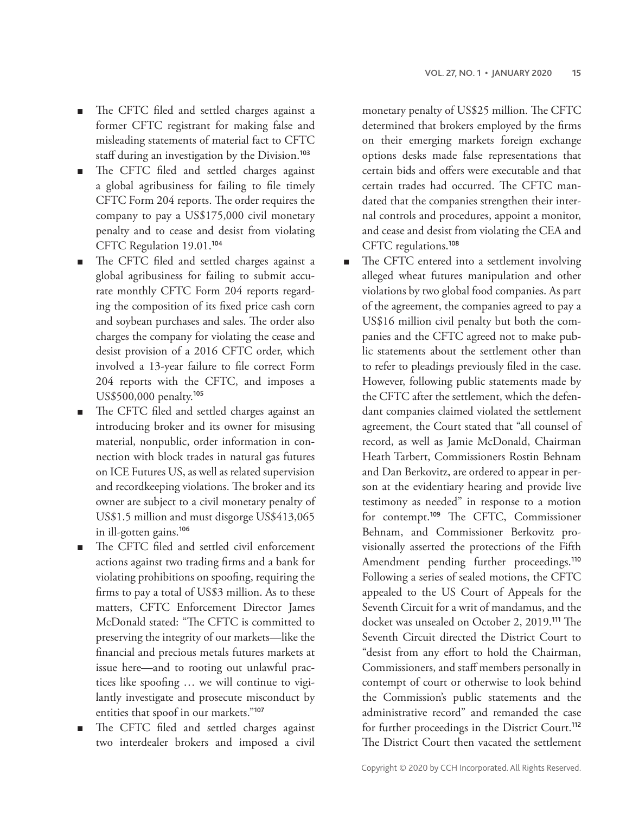- The CFTC filed and settled charges against a former CFTC registrant for making false and misleading statements of material fact to CFTC staff during an investigation by the Division.<sup>103</sup>
- The CFTC filed and settled charges against a global agribusiness for failing to file timely CFTC Form 204 reports. The order requires the company to pay a US\$175,000 civil monetary penalty and to cease and desist from violating CFTC Regulation 19.01.<sup>104</sup>
- The CFTC filed and settled charges against a global agribusiness for failing to submit accurate monthly CFTC Form 204 reports regarding the composition of its fixed price cash corn and soybean purchases and sales. The order also charges the company for violating the cease and desist provision of a 2016 CFTC order, which involved a 13-year failure to file correct Form 204 reports with the CFTC, and imposes a US\$500,000 penalty.<sup>105</sup>
- The CFTC filed and settled charges against an introducing broker and its owner for misusing material, nonpublic, order information in connection with block trades in natural gas futures on ICE Futures US, as well as related supervision and recordkeeping violations. The broker and its owner are subject to a civil monetary penalty of US\$1.5 million and must disgorge US\$413,065 in ill-gotten gains.<sup>106</sup>
- The CFTC filed and settled civil enforcement actions against two trading firms and a bank for violating prohibitions on spoofing, requiring the firms to pay a total of US\$3 million. As to these matters, CFTC Enforcement Director James McDonald stated: "The CFTC is committed to preserving the integrity of our markets—like the financial and precious metals futures markets at issue here—and to rooting out unlawful practices like spoofing … we will continue to vigilantly investigate and prosecute misconduct by entities that spoof in our markets."<sup>107</sup>
- The CFTC filed and settled charges against two interdealer brokers and imposed a civil

monetary penalty of US\$25 million. The CFTC determined that brokers employed by the firms on their emerging markets foreign exchange options desks made false representations that certain bids and offers were executable and that certain trades had occurred. The CFTC mandated that the companies strengthen their internal controls and procedures, appoint a monitor, and cease and desist from violating the CEA and CFTC regulations.<sup>108</sup>

■ The CFTC entered into a settlement involving alleged wheat futures manipulation and other violations by two global food companies. As part of the agreement, the companies agreed to pay a US\$16 million civil penalty but both the companies and the CFTC agreed not to make public statements about the settlement other than to refer to pleadings previously filed in the case. However, following public statements made by the CFTC after the settlement, which the defendant companies claimed violated the settlement agreement, the Court stated that "all counsel of record, as well as Jamie McDonald, Chairman Heath Tarbert, Commissioners Rostin Behnam and Dan Berkovitz, are ordered to appear in person at the evidentiary hearing and provide live testimony as needed" in response to a motion for contempt.<sup>109</sup> The CFTC, Commissioner Behnam, and Commissioner Berkovitz provisionally asserted the protections of the Fifth Amendment pending further proceedings.<sup>110</sup> Following a series of sealed motions, the CFTC appealed to the US Court of Appeals for the Seventh Circuit for a writ of mandamus, and the docket was unsealed on October 2, 2019.<sup>111</sup> The Seventh Circuit directed the District Court to "desist from any effort to hold the Chairman, Commissioners, and staff members personally in contempt of court or otherwise to look behind the Commission's public statements and the administrative record" and remanded the case for further proceedings in the District Court.<sup>112</sup> The District Court then vacated the settlement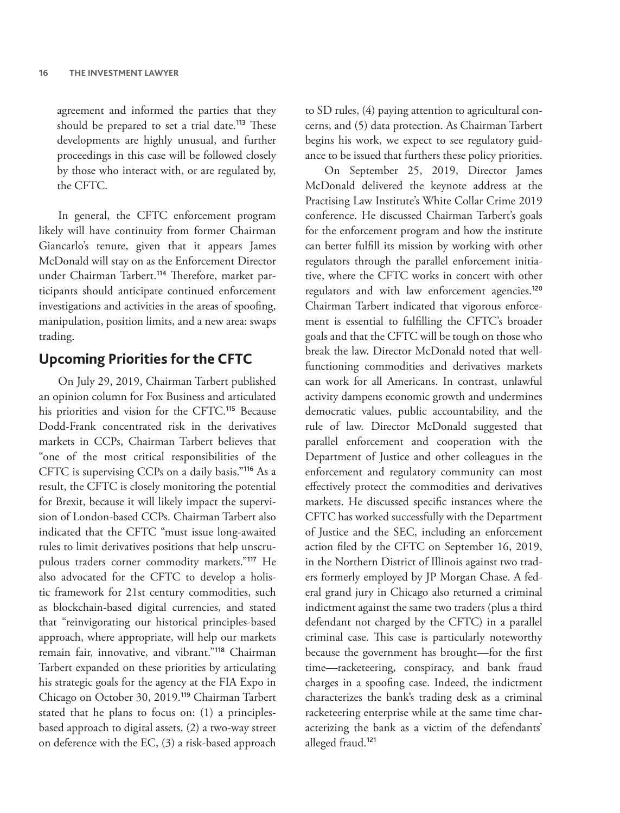agreement and informed the parties that they should be prepared to set a trial date.<sup>113</sup> These developments are highly unusual, and further proceedings in this case will be followed closely by those who interact with, or are regulated by, the CFTC.

In general, the CFTC enforcement program likely will have continuity from former Chairman Giancarlo's tenure, given that it appears James McDonald will stay on as the Enforcement Director under Chairman Tarbert.<sup>114</sup> Therefore, market participants should anticipate continued enforcement investigations and activities in the areas of spoofing, manipulation, position limits, and a new area: swaps trading.

### **Upcoming Priorities for the CFTC**

On July 29, 2019, Chairman Tarbert published an opinion column for Fox Business and articulated his priorities and vision for the CFTC.<sup>115</sup> Because Dodd-Frank concentrated risk in the derivatives markets in CCPs, Chairman Tarbert believes that "one of the most critical responsibilities of the CFTC is supervising CCPs on a daily basis."<sup>116</sup> As a result, the CFTC is closely monitoring the potential for Brexit, because it will likely impact the supervision of London-based CCPs. Chairman Tarbert also indicated that the CFTC "must issue long-awaited rules to limit derivatives positions that help unscrupulous traders corner commodity markets."<sup>117</sup> He also advocated for the CFTC to develop a holistic framework for 21st century commodities, such as blockchain-based digital currencies, and stated that "reinvigorating our historical principles-based approach, where appropriate, will help our markets remain fair, innovative, and vibrant."<sup>118</sup> Chairman Tarbert expanded on these priorities by articulating his strategic goals for the agency at the FIA Expo in Chicago on October 30, 2019.<sup>119</sup> Chairman Tarbert stated that he plans to focus on: (1) a principlesbased approach to digital assets, (2) a two-way street on deference with the EC, (3) a risk-based approach

to SD rules, (4) paying attention to agricultural concerns, and (5) data protection. As Chairman Tarbert begins his work, we expect to see regulatory guidance to be issued that furthers these policy priorities.

On September 25, 2019, Director James McDonald delivered the keynote address at the Practising Law Institute's White Collar Crime 2019 conference. He discussed Chairman Tarbert's goals for the enforcement program and how the institute can better fulfill its mission by working with other regulators through the parallel enforcement initiative, where the CFTC works in concert with other regulators and with law enforcement agencies.<sup>120</sup> Chairman Tarbert indicated that vigorous enforcement is essential to fulfilling the CFTC's broader goals and that the CFTC will be tough on those who break the law. Director McDonald noted that wellfunctioning commodities and derivatives markets can work for all Americans. In contrast, unlawful activity dampens economic growth and undermines democratic values, public accountability, and the rule of law. Director McDonald suggested that parallel enforcement and cooperation with the Department of Justice and other colleagues in the enforcement and regulatory community can most effectively protect the commodities and derivatives markets. He discussed specific instances where the CFTC has worked successfully with the Department of Justice and the SEC, including an enforcement action filed by the CFTC on September 16, 2019, in the Northern District of Illinois against two traders formerly employed by JP Morgan Chase. A federal grand jury in Chicago also returned a criminal indictment against the same two traders (plus a third defendant not charged by the CFTC) in a parallel criminal case. This case is particularly noteworthy because the government has brought—for the first time—racketeering, conspiracy, and bank fraud charges in a spoofing case. Indeed, the indictment characterizes the bank's trading desk as a criminal racketeering enterprise while at the same time characterizing the bank as a victim of the defendants' alleged fraud.<sup>121</sup>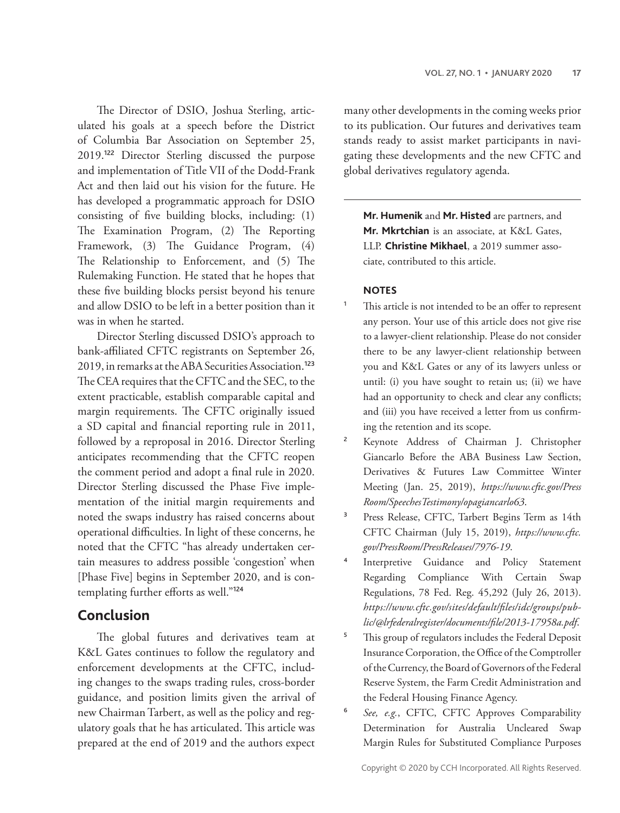The Director of DSIO, Joshua Sterling, articulated his goals at a speech before the District of Columbia Bar Association on September 25, 2019.<sup>122</sup> Director Sterling discussed the purpose and implementation of Title VII of the Dodd-Frank Act and then laid out his vision for the future. He has developed a programmatic approach for DSIO consisting of five building blocks, including: (1) The Examination Program, (2) The Reporting Framework, (3) The Guidance Program, (4) The Relationship to Enforcement, and (5) The Rulemaking Function. He stated that he hopes that these five building blocks persist beyond his tenure and allow DSIO to be left in a better position than it was in when he started.

Director Sterling discussed DSIO's approach to bank-affiliated CFTC registrants on September 26, 2019, in remarks at the ABA Securities Association.<sup>123</sup> The CEA requires that the CFTC and the SEC, to the extent practicable, establish comparable capital and margin requirements. The CFTC originally issued a SD capital and financial reporting rule in 2011, followed by a reproposal in 2016. Director Sterling anticipates recommending that the CFTC reopen the comment period and adopt a final rule in 2020. Director Sterling discussed the Phase Five implementation of the initial margin requirements and noted the swaps industry has raised concerns about operational difficulties. In light of these concerns, he noted that the CFTC "has already undertaken certain measures to address possible 'congestion' when [Phase Five] begins in September 2020, and is contemplating further efforts as well."<sup>124</sup>

#### **Conclusion**

The global futures and derivatives team at K&L Gates continues to follow the regulatory and enforcement developments at the CFTC, including changes to the swaps trading rules, cross-border guidance, and position limits given the arrival of new Chairman Tarbert, as well as the policy and regulatory goals that he has articulated. This article was prepared at the end of 2019 and the authors expect

many other developments in the coming weeks prior to its publication. Our futures and derivatives team stands ready to assist market participants in navigating these developments and the new CFTC and global derivatives regulatory agenda.

**Mr. Humenik** and **Mr. Histed** are partners, and **Mr. Mkrtchian** is an associate, at K&L Gates, LLP. **Christine Mikhael**, a 2019 summer associate, contributed to this article.

#### **NOTES**

- This article is not intended to be an offer to represent any person. Your use of this article does not give rise to a lawyer-client relationship. Please do not consider there to be any lawyer-client relationship between you and K&L Gates or any of its lawyers unless or until: (i) you have sought to retain us; (ii) we have had an opportunity to check and clear any conflicts; and (iii) you have received a letter from us confirming the retention and its scope.
- <sup>2</sup> Keynote Address of Chairman J. Christopher Giancarlo Before the ABA Business Law Section, Derivatives & Futures Law Committee Winter Meeting (Jan. 25, 2019), *<https://www.cftc.gov/>[Press](PressRoom)  [Room](PressRoom)</><SpeechesTestimony></opagiancarlo63>*.
- <sup>3</sup> Press Release, CFTC, Tarbert Begins Term as 14th CFTC Chairman (July 15, 2019), *[https://www.cftc.](https://www.cftc.gov/PressRoom/PressReleases/7976-19) [gov/PressRoom/PressReleases/7976-19](https://www.cftc.gov/PressRoom/PressReleases/7976-19)*.
- <sup>4</sup> Interpretive Guidance and Policy Statement Regarding Compliance With Certain Swap Regulations, 78 Fed. Reg. 45,292 (July 26, 2013). *[https://www.cftc.gov/sites/default/files/idc/groups/pub](mailto:https://www.cftc.gov/sites/default/files/idc/groups/public/@lrfederalregister/documents/file /2013-17958a.pdf)[lic/@lrfederalregister/documents/file/2013-17958a.pdf](mailto:https://www.cftc.gov/sites/default/files/idc/groups/public/@lrfederalregister/documents/file /2013-17958a.pdf)*.
- <sup>5</sup> This group of regulators includes the Federal Deposit Insurance Corporation, the Office of the Comptroller of the Currency, the Board of Governors of the Federal Reserve System, the Farm Credit Administration and the Federal Housing Finance Agency.
- <sup>6</sup> *See, e.g.*, CFTC, CFTC Approves Comparability Determination for Australia Uncleared Swap Margin Rules for Substituted Compliance Purposes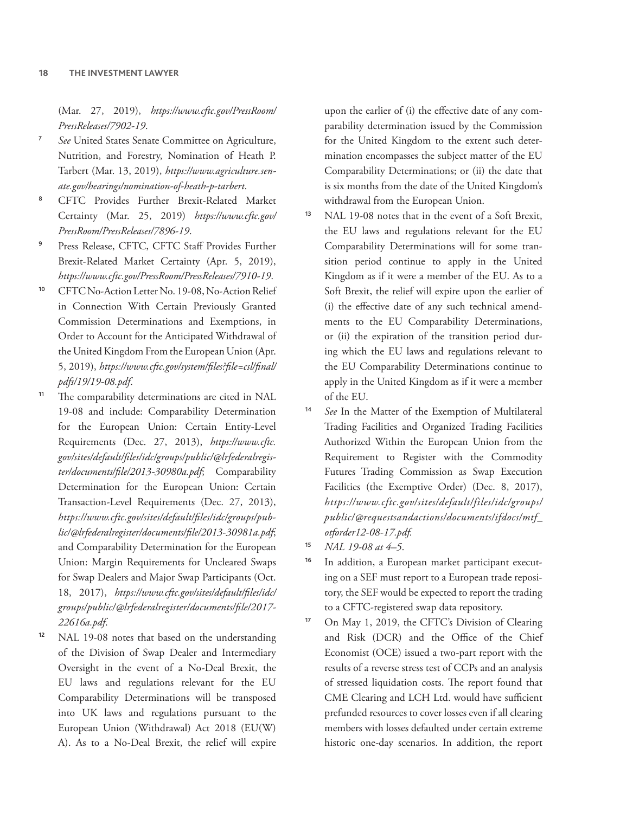(Mar. 27, 2019), *[https://www.cftc.gov/PressRoom/](https://www.cftc.gov/PressRoom/PressReleases/7902-19) [PressReleases/7902-19](https://www.cftc.gov/PressRoom/PressReleases/7902-19)*.

- See United States Senate Committee on Agriculture, Nutrition, and Forestry, Nomination of Heath P. Tarbert (Mar. 13, 2019), *[https://www.agriculture.sen](https://www.agriculture.senate.gov/hearings/nomination-of-heath-p-tarbert)[ate.gov/hearings/nomination-of-heath-p-tarbert](https://www.agriculture.senate.gov/hearings/nomination-of-heath-p-tarbert)*.
- <sup>8</sup> CFTC Provides Further Brexit-Related Market Certainty (Mar. 25, 2019) *[https://www.cftc.gov/](https://www.cftc.gov/PressRoom/PressReleases/7896-19) [PressRoom/PressReleases/7896-19](https://www.cftc.gov/PressRoom/PressReleases/7896-19)*.
- Press Release, CFTC, CFTC Staff Provides Further Brexit-Related Market Certainty (Apr. 5, 2019), *<https://www.cftc.gov/PressRoom/PressReleases/7910-19>*.
- <sup>10</sup> CFTC No-Action Letter No. 19-08, No-Action Relief in Connection With Certain Previously Granted Commission Determinations and Exemptions, in Order to Account for the Anticipated Withdrawal of the United Kingdom From the European Union (Apr. 5, 2019), *[https://www.cftc.gov/system/files?file=csl/final/](https://www.cftc.gov/system/files?file=csl/final/pdfs/19/19-08.pdf) [pdfs/19/19-08.pdf](https://www.cftc.gov/system/files?file=csl/final/pdfs/19/19-08.pdf)*.
- <sup>11</sup> The comparability determinations are cited in NAL 19-08 and include: Comparability Determination for the European Union: Certain Entity-Level Requirements (Dec. 27, 2013), *[https://www.cftc.](mailto:https://www.cftc.gov/sites /default/files/idc/groups/public/@lrfederalregister/documents/file/2013-30980a.pdf) [gov/sites/default/files/idc/groups/public/@lrfederalregis](mailto:https://www.cftc.gov/sites /default/files/idc/groups/public/@lrfederalregister/documents/file/2013-30980a.pdf)[ter/documents/file/2013-30980a.pdf](mailto:https://www.cftc.gov/sites /default/files/idc/groups/public/@lrfederalregister/documents/file/2013-30980a.pdf)*; Comparability Determination for the European Union: Certain Transaction-Level Requirements (Dec. 27, 2013), *[https://www.cftc.gov/sites/default/files/idc/groups/pub](mailto:https://www.cftc.gov/sites/ default/files/idc/groups/public/@lrfederalregister/documents/file/2013-30981a.pdf)[lic/@lrfederalregister/documents/file/2013-30981a.pdf](mailto:https://www.cftc.gov/sites/ default/files/idc/groups/public/@lrfederalregister/documents/file/2013-30981a.pdf)*; and Comparability Determination for the European Union: Margin Requirements for Uncleared Swaps for Swap Dealers and Major Swap Participants (Oct. 18, 2017), *[https://www.cftc.gov/sites/default/files/idc/](mailto:https://www.cftc.gov/sites/default/files/idc/groups/public/@lrfederalregister/documents/file/2017-22616a.pdf) [groups/public/@lrfederalregister/documents/file/2017-](mailto:https://www.cftc.gov/sites/default/files/idc/groups/public/@lrfederalregister/documents/file/2017-22616a.pdf) [22616a.pdf](mailto:https://www.cftc.gov/sites/default/files/idc/groups/public/@lrfederalregister/documents/file/2017-22616a.pdf)*.
- <sup>12</sup> NAL 19-08 notes that based on the understanding of the Division of Swap Dealer and Intermediary Oversight in the event of a No-Deal Brexit, the EU laws and regulations relevant for the EU Comparability Determinations will be transposed into UK laws and regulations pursuant to the European Union (Withdrawal) Act 2018 (EU(W) A). As to a No-Deal Brexit, the relief will expire

upon the earlier of (i) the effective date of any comparability determination issued by the Commission for the United Kingdom to the extent such determination encompasses the subject matter of the EU Comparability Determinations; or (ii) the date that is six months from the date of the United Kingdom's withdrawal from the European Union.

- <sup>13</sup> NAL 19-08 notes that in the event of a Soft Brexit, the EU laws and regulations relevant for the EU Comparability Determinations will for some transition period continue to apply in the United Kingdom as if it were a member of the EU. As to a Soft Brexit, the relief will expire upon the earlier of (i) the effective date of any such technical amendments to the EU Comparability Determinations, or (ii) the expiration of the transition period during which the EU laws and regulations relevant to the EU Comparability Determinations continue to apply in the United Kingdom as if it were a member of the EU.
- <sup>14</sup> *See* In the Matter of the Exemption of Multilateral Trading Facilities and Organized Trading Facilities Authorized Within the European Union from the Requirement to Register with the Commodity Futures Trading Commission as Swap Execution Facilities (the Exemptive Order) (Dec. 8, 2017), *[https://www.cftc.gov/sites/default/files/idc/groups/](mailto:https://www.cftc.gov/sites/default/files/idc/ groups/public/@requestsandactions/documents/ifdocs/mtf_otforder12-08-17.pdf) [public/@requestsandactions/documents/ifdocs/mtf\\_](mailto:https://www.cftc.gov/sites/default/files/idc/ groups/public/@requestsandactions/documents/ifdocs/mtf_otforder12-08-17.pdf) [otforder12-08-17.pdf.](mailto:https://www.cftc.gov/sites/default/files/idc/ groups/public/@requestsandactions/documents/ifdocs/mtf_otforder12-08-17.pdf)*
- <sup>15</sup> *NAL 19-08 at 4–5*.
- <sup>16</sup> In addition, a European market participant executing on a SEF must report to a European trade repository, the SEF would be expected to report the trading to a CFTC-registered swap data repository.
- <sup>17</sup> On May 1, 2019, the CFTC's Division of Clearing and Risk (DCR) and the Office of the Chief Economist (OCE) issued a two-part report with the results of a reverse stress test of CCPs and an analysis of stressed liquidation costs. The report found that CME Clearing and LCH Ltd. would have sufficient prefunded resources to cover losses even if all clearing members with losses defaulted under certain extreme historic one-day scenarios. In addition, the report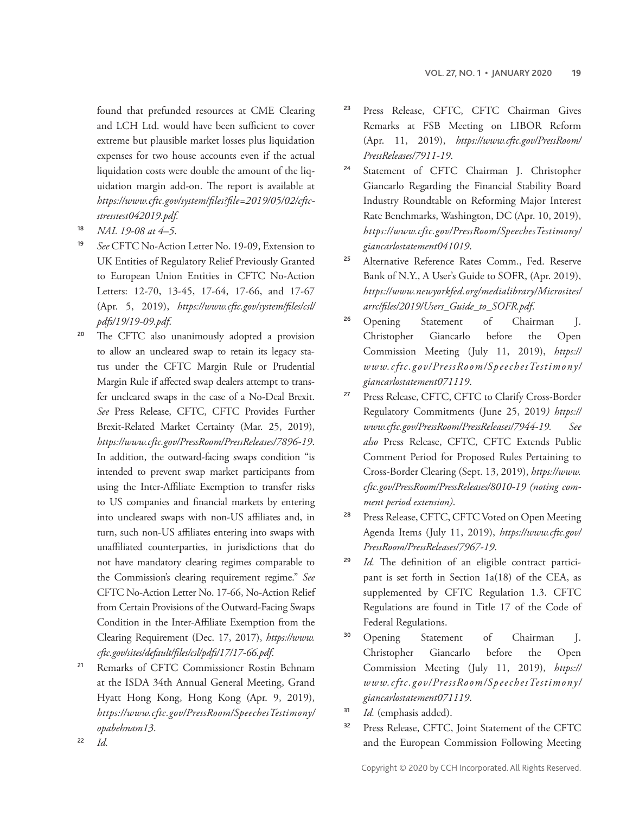found that prefunded resources at CME Clearing and LCH Ltd. would have been sufficient to cover extreme but plausible market losses plus liquidation expenses for two house accounts even if the actual liquidation costs were double the amount of the liquidation margin add-on. The report is available at *[https://www.cftc.gov/system/files?file=2019/05/02/cftc](https://www.cftc.gov/system/files?file=2019/05/02/cftcstresstest042019.pdf)[stresstest042019.pdf](https://www.cftc.gov/system/files?file=2019/05/02/cftcstresstest042019.pdf).*

- <sup>18</sup> *NAL 19-08 at 4–5*.
- <sup>19</sup> *See* CFTC No-Action Letter No. 19-09, Extension to UK Entities of Regulatory Relief Previously Granted to European Union Entities in CFTC No-Action Letters: 12-70, 13-45, 17-64, 17-66, and 17-67 (Apr. 5, 2019), *[https://www.cftc.gov/system/files/csl/](https://www.cftc.gov/system/files/csl/pdfs/19/19-09.pdf) [pdfs/19/19-09.pdf](https://www.cftc.gov/system/files/csl/pdfs/19/19-09.pdf)*.
- <sup>20</sup> The CFTC also unanimously adopted a provision to allow an uncleared swap to retain its legacy status under the CFTC Margin Rule or Prudential Margin Rule if affected swap dealers attempt to transfer uncleared swaps in the case of a No-Deal Brexit. *See* Press Release, CFTC, CFTC Provides Further Brexit-Related Market Certainty (Mar. 25, 2019), *<https://www.cftc.gov/PressRoom/PressReleases/7896-19>*. In addition, the outward-facing swaps condition "is intended to prevent swap market participants from using the Inter-Affiliate Exemption to transfer risks to US companies and financial markets by entering into uncleared swaps with non-US affiliates and, in turn, such non-US affiliates entering into swaps with unaffiliated counterparties, in jurisdictions that do not have mandatory clearing regimes comparable to the Commission's clearing requirement regime." *See*  CFTC No-Action Letter No. 17-66, No-Action Relief from Certain Provisions of the Outward-Facing Swaps Condition in the Inter-Affiliate Exemption from the Clearing Requirement (Dec. 17, 2017), *[https://www.](https://www.cftc.gov/sites/default/files/csl/pdfs/17/17-66.pdf) [cftc.gov/sites/default/files/csl/pdfs/17/17-66.pdf](https://www.cftc.gov/sites/default/files/csl/pdfs/17/17-66.pdf)*.
- <sup>21</sup> Remarks of CFTC Commissioner Rostin Behnam at the ISDA 34th Annual General Meeting, Grand Hyatt Hong Kong, Hong Kong (Apr. 9, 2019), *<https://www.cftc.gov/><PressRoom></><SpeechesTestimony>[/](/opabehnam13) [opabehnam13](/opabehnam13)*.
- <sup>23</sup> Press Release, CFTC, CFTC Chairman Gives Remarks at FSB Meeting on LIBOR Reform (Apr. 11, 2019), *[https://www.cftc.gov/PressRoom/](https://www.cftc.gov/PressRoom/PressReleases/7911-19) [PressReleases/7911-19](https://www.cftc.gov/PressRoom/PressReleases/7911-19)*.
- <sup>24</sup> Statement of CFTC Chairman J. Christopher Giancarlo Regarding the Financial Stability Board Industry Roundtable on Reforming Major Interest Rate Benchmarks, Washington, DC (Apr. 10, 2019), *<https://www.cftc.gov/><PressRoom></><SpeechesTestimony>[/](/giancarlostatement041019) [giancarlostatement041019](/giancarlostatement041019)*.
- <sup>25</sup> Alternative Reference Rates Comm., Fed. Reserve Bank of N.Y., A User's Guide to SOFR, (Apr. 2019), *[https://www.newyorkfed.org/medialibrary/Microsites/](https://www.newyorkfed.org/medialibrary/Microsites/arrc/files/2019/Users_Guide_to_SOFR.pdf) [arrc/files/2019/Users\\_Guide\\_to\\_SOFR.pdf](https://www.newyorkfed.org/medialibrary/Microsites/arrc/files/2019/Users_Guide_to_SOFR.pdf)*.
- <sup>26</sup> Opening Statement of Chairman J. Christopher Giancarlo before the Open Commission Meeting (July 11, 2019), *[https://](https://www.cftc.gov/) [www.cftc.gov/](https://www.cftc.gov/)<PressRoom></><SpeechesTestimony>[/](/giancarlostatement071119) [giancarlostatement071119](/giancarlostatement071119)*.
- <sup>27</sup> Press Release, CFTC, CFTC to Clarify Cross-Border Regulatory Commitments (June 25, 2019*) [https://](https://www.cftc.gov/PressRoom/PressReleases/7944-19) [www.cftc.gov/PressRoom/PressReleases/7944-19](https://www.cftc.gov/PressRoom/PressReleases/7944-19). See also* Press Release, CFTC, CFTC Extends Public Comment Period for Proposed Rules Pertaining to Cross-Border Clearing (Sept. 13, 2019), *[https://www.](https://www.cftc.gov/PressRoom/PressReleases/8010-19) [cftc.gov/PressRoom/PressReleases/8010-19](https://www.cftc.gov/PressRoom/PressReleases/8010-19) (noting comment period extension)*.
- <sup>28</sup> Press Release, CFTC, CFTC Voted on Open Meeting Agenda Items (July 11, 2019), *[https://www.cftc.gov/](https://www.cftc.gov/PressRoom/PressReleases/7967-19) [PressRoom/PressReleases/7967-19](https://www.cftc.gov/PressRoom/PressReleases/7967-19)*.
- <sup>29</sup> *Id.* The definition of an eligible contract participant is set forth in Section 1a(18) of the CEA, as supplemented by CFTC Regulation 1.3. CFTC Regulations are found in Title 17 of the Code of Federal Regulations.
- <sup>30</sup> Opening Statement of Chairman J. Christopher Giancarlo before the Open Commission Meeting (July 11, 2019), *[https://](https://www.cftc.gov/) [www.cftc.gov/](https://www.cftc.gov/)<PressRoom></><SpeechesTestimony>[/](/giancarlostatement071119) [giancarlostatement071119](/giancarlostatement071119)*.
- <sup>31</sup> *Id.* (emphasis added).
- <sup>32</sup> Press Release, CFTC, Joint Statement of the CFTC and the European Commission Following Meeting

<sup>22</sup> *Id.*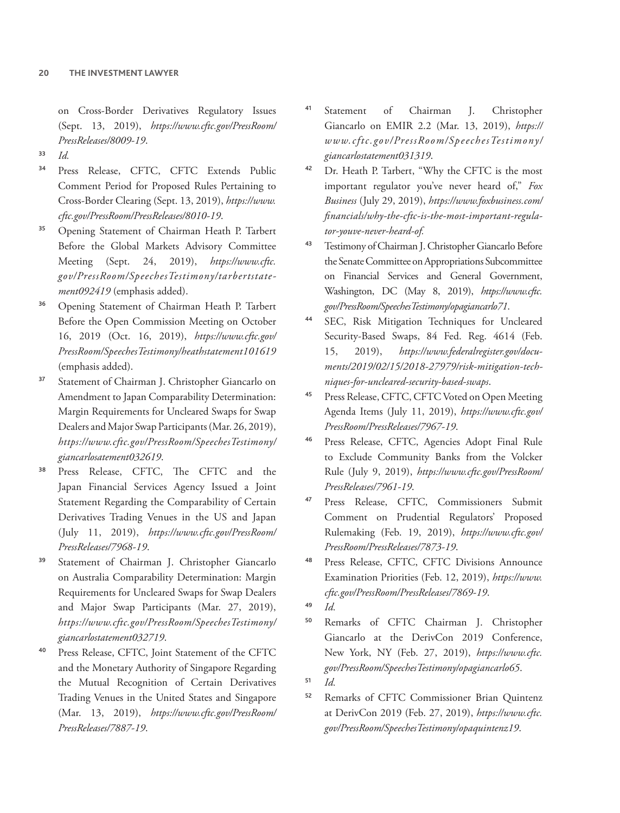on Cross-Border Derivatives Regulatory Issues (Sept. 13, 2019), *[https://www.cftc.gov/PressRoom/](https://www.cftc.gov/PressRoom/PressReleases/8009-19) [PressReleases/8009-19](https://www.cftc.gov/PressRoom/PressReleases/8009-19)*.

- <sup>33</sup> *Id.*
- <sup>34</sup> Press Release, CFTC, CFTC Extends Public Comment Period for Proposed Rules Pertaining to Cross-Border Clearing (Sept. 13, 2019), *[https://www.](https://www.cftc.gov/PressRoom/PressReleases/8010-19) [cftc.gov/PressRoom/PressReleases/8010-19](https://www.cftc.gov/PressRoom/PressReleases/8010-19)*.
- <sup>35</sup> Opening Statement of Chairman Heath P. Tarbert Before the Global Markets Advisory Committee Meeting (Sept. 24, 2019), *[https://www.cftc.](https://www.cftc.gov/) [gov/](https://www.cftc.gov/)<PressRoom></><SpeechesTestimony>[/tarbertstate](/tarbertstatement092419)[ment092419](/tarbertstatement092419)* (emphasis added).
- <sup>36</sup> Opening Statement of Chairman Heath P. Tarbert Before the Open Commission Meeting on October 16, 2019 (Oct. 16, 2019), *[https://www.cftc.gov/](https://www.cftc.gov/PressRoom/SpeechesTestimony/heathstatement101619) [PressRoom/SpeechesTestimony/heathstatement101619](https://www.cftc.gov/PressRoom/SpeechesTestimony/heathstatement101619)* (emphasis added).
- <sup>37</sup> Statement of Chairman J. Christopher Giancarlo on Amendment to Japan Comparability Determination: Margin Requirements for Uncleared Swaps for Swap Dealers and Major Swap Participants (Mar. 26, 2019), *<https://www.cftc.gov/><PressRoom></><SpeechesTestimony>[/](/giancarlosatement032619) [giancarlosatement032619](/giancarlosatement032619)*.
- <sup>38</sup> Press Release, CFTC, The CFTC and the Japan Financial Services Agency Issued a Joint Statement Regarding the Comparability of Certain Derivatives Trading Venues in the US and Japan (July 11, 2019), *[https://www.cftc.gov/PressRoom/](https://www.cftc.gov/PressRoom/PressReleases/7968-19) [PressReleases/7968-19](https://www.cftc.gov/PressRoom/PressReleases/7968-19)*.
- <sup>39</sup> Statement of Chairman J. Christopher Giancarlo on Australia Comparability Determination: Margin Requirements for Uncleared Swaps for Swap Dealers and Major Swap Participants (Mar. 27, 2019), *<https://www.cftc.gov/><PressRoom></><SpeechesTestimony>[/](/giancarlostatement032719) [giancarlostatement032719](/giancarlostatement032719)*.
- <sup>40</sup> Press Release, CFTC, Joint Statement of the CFTC and the Monetary Authority of Singapore Regarding the Mutual Recognition of Certain Derivatives Trading Venues in the United States and Singapore (Mar. 13, 2019), *[https://www.cftc.gov/PressRoom/](https://www.cftc.gov/PressRoom/PressReleases/7887-19) [PressReleases/7887-19](https://www.cftc.gov/PressRoom/PressReleases/7887-19)*.
- <sup>41</sup> Statement of Chairman J. Christopher Giancarlo on EMIR 2.2 (Mar. 13, 2019), *[https://](https://www.cftc.gov/) [www.cftc.gov/](https://www.cftc.gov/)<PressRoom></><SpeechesTestimony>[/](/giancarlostatement031319) [giancarlostatement031319](/giancarlostatement031319)*.
- <sup>42</sup> Dr. Heath P. Tarbert, "Why the CFTC is the most important regulator you've never heard of," *Fox Business* (July 29, 2019), *[https://www.foxbusiness.com/](https://www.foxbusiness.com/financials/why-the-cftc-is-the-most-important-regulator-youve-never-heard-of) [financials/why-the-cftc-is-the-most-important-regula](https://www.foxbusiness.com/financials/why-the-cftc-is-the-most-important-regulator-youve-never-heard-of)[tor-youve-never-heard-of.](https://www.foxbusiness.com/financials/why-the-cftc-is-the-most-important-regulator-youve-never-heard-of)*
- <sup>43</sup> Testimony of Chairman J. Christopher Giancarlo Before the Senate Committee on Appropriations Subcommittee on Financial Services and General Government, Washington, DC (May 8, 2019), *[https://www.cftc.](https://www.cftc.gov/) [gov/](https://www.cftc.gov/)<PressRoom></><SpeechesTestimony></opagiancarlo71>*.
- SEC, Risk Mitigation Techniques for Uncleared Security-Based Swaps, 84 Fed. Reg. 4614 (Feb. 15, 2019), *[https://www.federalregister.gov/docu](https://www.federalregister.gov/documents/2019/02/15/2018-27979/risk-mitigation-techniques-for-uncleared-security-based-swaps)[ments/2019/02/15/2018-27979/risk-mitigation-tech](https://www.federalregister.gov/documents/2019/02/15/2018-27979/risk-mitigation-techniques-for-uncleared-security-based-swaps)[niques-for-uncleared-security-based-swaps](https://www.federalregister.gov/documents/2019/02/15/2018-27979/risk-mitigation-techniques-for-uncleared-security-based-swaps)*.
- <sup>45</sup> Press Release, CFTC, CFTC Voted on Open Meeting Agenda Items (July 11, 2019), *[https://www.cftc.gov/](https://www.cftc.gov/PressRoom/PressReleases/7967-19) [PressRoom/PressReleases/7967-19](https://www.cftc.gov/PressRoom/PressReleases/7967-19)*.
- <sup>46</sup> Press Release, CFTC, Agencies Adopt Final Rule to Exclude Community Banks from the Volcker Rule (July 9, 2019), *[https://www.cftc.gov/PressRoom/](https://www.cftc.gov/PressRoom/PressReleases/7961-19) [PressReleases/7961-19](https://www.cftc.gov/PressRoom/PressReleases/7961-19)*.
- <sup>47</sup> Press Release, CFTC, Commissioners Submit Comment on Prudential Regulators' Proposed Rulemaking (Feb. 19, 2019), *[https://www.cftc.gov/](https://www.cftc.gov/PressRoom/PressReleases/7873-19) [PressRoom/PressReleases/7873-19](https://www.cftc.gov/PressRoom/PressReleases/7873-19)*.
- Press Release, CFTC, CFTC Divisions Announce Examination Priorities (Feb. 12, 2019), *[https://www.](https://www.cftc.gov/PressRoom/PressReleases/7869-19) [cftc.gov/PressRoom/PressReleases/7869-19](https://www.cftc.gov/PressRoom/PressReleases/7869-19)*.
- <sup>49</sup> *Id.*
- <sup>50</sup> Remarks of CFTC Chairman J. Christopher Giancarlo at the DerivCon 2019 Conference, New York, NY (Feb. 27, 2019), *[https://www.cftc.](https://www.cftc.gov/) [gov/](https://www.cftc.gov/)<PressRoom></><SpeechesTestimony></opagiancarlo65>*.
- <sup>51</sup> *Id.*
- <sup>52</sup> Remarks of CFTC Commissioner Brian Quintenz at DerivCon 2019 (Feb. 27, 2019), *[https://www.cftc.](https://www.cftc.gov/) [gov/](https://www.cftc.gov/)<PressRoom></><SpeechesTestimony></opaquintenz19>*.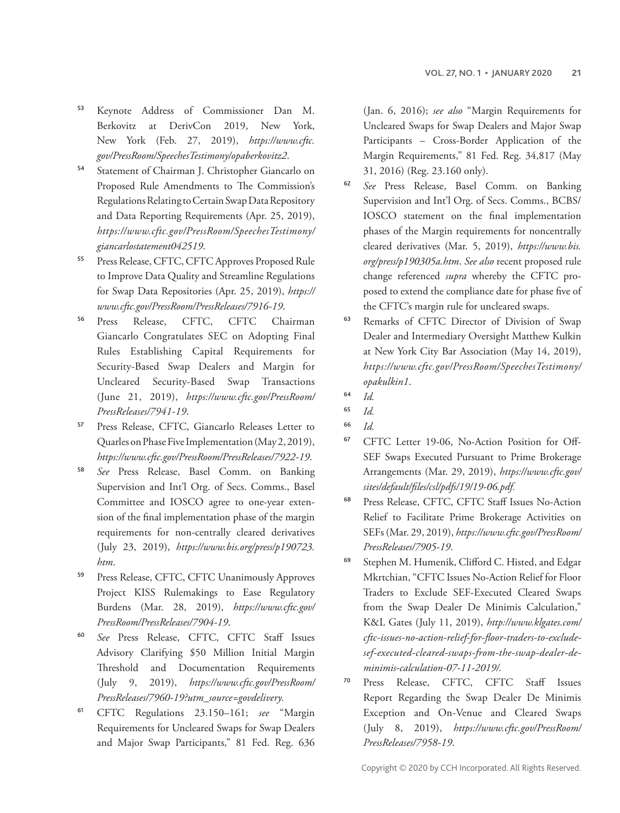- <sup>53</sup> Keynote Address of Commissioner Dan M. Berkovitz at DerivCon 2019, New York, New York (Feb. 27, 2019), *[https://www.cftc.](https://www.cftc.gov/) [gov/](https://www.cftc.gov/)<PressRoom></><SpeechesTestimony></opaberkovitz2>*.
- <sup>54</sup> Statement of Chairman J. Christopher Giancarlo on Proposed Rule Amendments to The Commission's Regulations Relating to Certain Swap Data Repository and Data Reporting Requirements (Apr. 25, 2019), *<https://www.cftc.gov/><PressRoom></><SpeechesTestimony>[/](/giancarlostatement042519) [giancarlostatement042519](/giancarlostatement042519)*.
- <sup>55</sup> Press Release, CFTC, CFTC Approves Proposed Rule to Improve Data Quality and Streamline Regulations for Swap Data Repositories (Apr. 25, 2019), *[https://](https://www.cftc.gov/PressRoom/PressReleases/7916-19) [www.cftc.gov/PressRoom/PressReleases/7916-19](https://www.cftc.gov/PressRoom/PressReleases/7916-19)*.
- <sup>56</sup> Press Release, CFTC, CFTC Chairman Giancarlo Congratulates SEC on Adopting Final Rules Establishing Capital Requirements for Security-Based Swap Dealers and Margin for Uncleared Security-Based Swap Transactions (June 21, 2019), *[https://www.cftc.gov/PressRoom/](https://www.cftc.gov/PressRoom/PressReleases/7941-19) [PressReleases/7941-19](https://www.cftc.gov/PressRoom/PressReleases/7941-19)*.
- <sup>57</sup> Press Release, CFTC, Giancarlo Releases Letter to Quarles on Phase Five Implementation (May 2, 2019), *<https://www.cftc.gov/PressRoom/PressReleases/7922-19>*.
- <sup>58</sup> *See* Press Release, Basel Comm. on Banking Supervision and Int'l Org. of Secs. Comms., Basel Committee and IOSCO agree to one-year extension of the final implementation phase of the margin requirements for non-centrally cleared derivatives (July 23, 2019), *[https://www.bis.org/press/p190723.](https://www.bis.org/press/p190723.htm) [htm](https://www.bis.org/press/p190723.htm)*.
- <sup>59</sup> Press Release, CFTC, CFTC Unanimously Approves Project KISS Rulemakings to Ease Regulatory Burdens (Mar. 28, 2019), *[https://www.cftc.gov/](https://www.cftc.gov/PressRoom/PressReleases/7904-19) [PressRoom/PressReleases/7904-19](https://www.cftc.gov/PressRoom/PressReleases/7904-19)*.
- <sup>60</sup> *See* Press Release, CFTC, CFTC Staff Issues Advisory Clarifying \$50 Million Initial Margin Threshold and Documentation Requirements (July 9, 2019), *[https://www.cftc.gov/PressRoom/](https://www.cftc.gov/PressRoom/PressReleases/7960-19?utm_source=govdelivery) [PressReleases/7960-19?utm\\_source=govdelivery.](https://www.cftc.gov/PressRoom/PressReleases/7960-19?utm_source=govdelivery)*
- <sup>61</sup> CFTC Regulations 23.150–161; *see* "Margin Requirements for Uncleared Swaps for Swap Dealers and Major Swap Participants," 81 Fed. Reg. 636

(Jan. 6, 2016); *see also* "Margin Requirements for Uncleared Swaps for Swap Dealers and Major Swap Participants – Cross-Border Application of the Margin Requirements," 81 Fed. Reg. 34,817 (May 31, 2016) (Reg. 23.160 only).

- <sup>62</sup> *See* Press Release, Basel Comm. on Banking Supervision and Int'l Org. of Secs. Comms., BCBS/ IOSCO statement on the final implementation phases of the Margin requirements for noncentrally cleared derivatives (Mar. 5, 2019), *[https://www.bis.](https://www.bis.org/press/p190305a.htm) [org/press/p190305a.htm](https://www.bis.org/press/p190305a.htm)*. *See also* recent proposed rule change referenced *supra* whereby the CFTC proposed to extend the compliance date for phase five of the CFTC's margin rule for uncleared swaps.
- <sup>63</sup> Remarks of CFTC Director of Division of Swap Dealer and Intermediary Oversight Matthew Kulkin at New York City Bar Association (May 14, 2019), *<https://www.cftc.gov/><PressRoom></><SpeechesTestimony>[/](/opakulkin1) [opakulkin1](/opakulkin1)*.
- <sup>64</sup> *Id.*

- <sup>66</sup> *Id.*
- <sup>67</sup> CFTC Letter 19-06, No-Action Position for Off-SEF Swaps Executed Pursuant to Prime Brokerage Arrangements (Mar. 29, 2019), *[https://www.cftc.gov/](https://www.cftc.gov/sites/default/files/csl/pdfs/19/19-06.pdf) [sites/default/files/csl/pdfs/19/19-06.pdf](https://www.cftc.gov/sites/default/files/csl/pdfs/19/19-06.pdf).*
- <sup>68</sup> Press Release, CFTC, CFTC Staff Issues No-Action Relief to Facilitate Prime Brokerage Activities on SEFs (Mar. 29, 2019), *[https://www.cftc.gov/PressRoom/](https://www.cftc.gov/PressRoom/PressReleases/7905-19) [PressReleases/7905-19](https://www.cftc.gov/PressRoom/PressReleases/7905-19)*.
- <sup>69</sup> Stephen M. Humenik, Clifford C. Histed, and Edgar Mkrtchian, "CFTC Issues No-Action Relief for Floor Traders to Exclude SEF-Executed Cleared Swaps from the Swap Dealer De Minimis Calculation," K&L Gates (July 11, 2019), *[http://www.klgates.com/](http://www.klgates.com/cftc-issues-no-action-relief-for-floor-traders-to-exclude-sef-executed-cleared-swaps-from-the-swap-dealer-de-minimis-calculation-07-11-2019/) [cftc-issues-no-action-relief-for-floor-traders-to-exclude](http://www.klgates.com/cftc-issues-no-action-relief-for-floor-traders-to-exclude-sef-executed-cleared-swaps-from-the-swap-dealer-de-minimis-calculation-07-11-2019/)[sef-executed-cleared-swaps-from-the-swap-dealer-de](http://www.klgates.com/cftc-issues-no-action-relief-for-floor-traders-to-exclude-sef-executed-cleared-swaps-from-the-swap-dealer-de-minimis-calculation-07-11-2019/)[minimis-calculation-07-11-2019/.](http://www.klgates.com/cftc-issues-no-action-relief-for-floor-traders-to-exclude-sef-executed-cleared-swaps-from-the-swap-dealer-de-minimis-calculation-07-11-2019/)*
- <sup>70</sup> Press Release, CFTC, CFTC Staff Issues Report Regarding the Swap Dealer De Minimis Exception and On-Venue and Cleared Swaps (July 8, 2019), *[https://www.cftc.gov/PressRoom/](https://www.cftc.gov/PressRoom/PressReleases/7958-19) [PressReleases/7958-19](https://www.cftc.gov/PressRoom/PressReleases/7958-19)*.

<sup>65</sup> *Id.*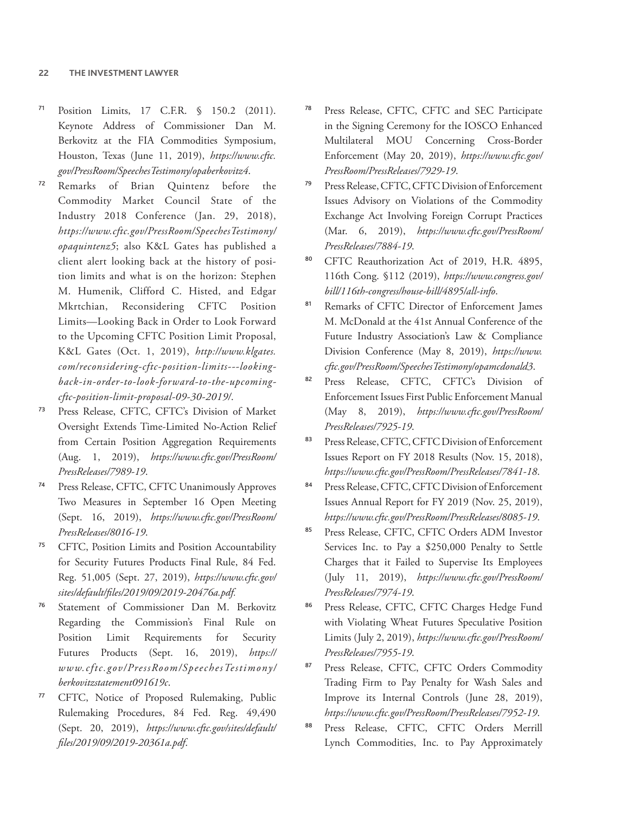- <sup>71</sup> Position Limits, 17 C.F.R. § 150.2 (2011). Keynote Address of Commissioner Dan M. Berkovitz at the FIA Commodities Symposium, Houston, Texas (June 11, 2019), *[https://www.cftc.](https://www.cftc.gov/) [gov/](https://www.cftc.gov/)<PressRoom></><SpeechesTestimony></opaberkovitz4>*.
- <sup>72</sup> Remarks of Brian Quintenz before the Commodity Market Council State of the Industry 2018 Conference (Jan. 29, 2018), *<https://www.cftc.gov/><PressRoom></><SpeechesTestimony>[/](/opaquintenz5) [opaquintenz5](/opaquintenz5)*; also K&L Gates has published a client alert looking back at the history of position limits and what is on the horizon: Stephen M. Humenik, Clifford C. Histed, and Edgar Mkrtchian, Reconsidering CFTC Position Limits—Looking Back in Order to Look Forward to the Upcoming CFTC Position Limit Proposal, K&L Gates (Oct. 1, 2019), *[http://www.klgates.](http://www.klgates.com/reconsidering-cftc-position-limits---looking-back-in-order-to-look-forward-to-the-upcoming-cftc-position-limit-proposal-09-30-2019/) [com/reconsidering-cftc-position-limits---looking](http://www.klgates.com/reconsidering-cftc-position-limits---looking-back-in-order-to-look-forward-to-the-upcoming-cftc-position-limit-proposal-09-30-2019/)[back-in-order-to-look-forward-to-the-upcoming](http://www.klgates.com/reconsidering-cftc-position-limits---looking-back-in-order-to-look-forward-to-the-upcoming-cftc-position-limit-proposal-09-30-2019/)[cftc-position-limit-proposal-09-30-2019/](http://www.klgates.com/reconsidering-cftc-position-limits---looking-back-in-order-to-look-forward-to-the-upcoming-cftc-position-limit-proposal-09-30-2019/)*.
- <sup>73</sup> Press Release, CFTC, CFTC's Division of Market Oversight Extends Time-Limited No-Action Relief from Certain Position Aggregation Requirements (Aug. 1, 2019), *[https://www.cftc.gov/PressRoom/](https://www.cftc.gov/PressRoom/PressReleases/7989-19) [PressReleases/7989-19](https://www.cftc.gov/PressRoom/PressReleases/7989-19)*.
- Press Release, CFTC, CFTC Unanimously Approves Two Measures in September 16 Open Meeting (Sept. 16, 2019), *[https://www.cftc.gov/PressRoom/](https://www.cftc.gov/PressRoom/PressReleases/8016-19) [PressReleases/8016-19](https://www.cftc.gov/PressRoom/PressReleases/8016-19)*.
- <sup>75</sup> CFTC, Position Limits and Position Accountability for Security Futures Products Final Rule, 84 Fed. Reg. 51,005 (Sept. 27, 2019), *[https://www.cftc.gov/](https://www.cftc.gov/sites/default/files/2019/09/2019-20476a.pdf) [sites/default/files/2019/09/2019-20476a.pdf.](https://www.cftc.gov/sites/default/files/2019/09/2019-20476a.pdf)*
- <sup>76</sup> Statement of Commissioner Dan M. Berkovitz Regarding the Commission's Final Rule on Position Limit Requirements for Security Futures Products (Sept. 16, 2019), *[https://](https://www.cftc.gov/) [www.cftc.gov/](https://www.cftc.gov/)<PressRoom></><SpeechesTestimony>[/](/berkovitzstatement091619c) [berkovitzstatement091619c](/berkovitzstatement091619c)*.
- <sup>77</sup> CFTC, Notice of Proposed Rulemaking, Public Rulemaking Procedures, 84 Fed. Reg. 49,490 (Sept. 20, 2019), *[https://www.cftc.gov/sites/default/](https://www.cftc.gov/sites/default/files/2019/09/2019-20361a.pdf) [files/2019/09/2019-20361a.pdf](https://www.cftc.gov/sites/default/files/2019/09/2019-20361a.pdf)*.
- <sup>78</sup> Press Release, CFTC, CFTC and SEC Participate in the Signing Ceremony for the IOSCO Enhanced Multilateral MOU Concerning Cross-Border Enforcement (May 20, 2019), *[https://www.cftc.gov/](https://www.cftc.gov/PressRoom/PressReleases/7929-19) [PressRoom/PressReleases/7929-19](https://www.cftc.gov/PressRoom/PressReleases/7929-19)*.
- Press Release, CFTC, CFTC Division of Enforcement Issues Advisory on Violations of the Commodity Exchange Act Involving Foreign Corrupt Practices (Mar. 6, 2019), *[https://www.cftc.gov/PressRoom/](https://www.cftc.gov/PressRoom/PressReleases/7884-19) [PressReleases/7884-19](https://www.cftc.gov/PressRoom/PressReleases/7884-19)*.
- CFTC Reauthorization Act of 2019, H.R. 4895, 116th Cong. §112 (2019), *[https://www.congress.gov/](https://www.congress.gov/bill/116th-congress/house-bill/4895/all-info) [bill/116th-congress/house-bill/4895/all-info](https://www.congress.gov/bill/116th-congress/house-bill/4895/all-info)*.
- 81 Remarks of CFTC Director of Enforcement James M. McDonald at the 41st Annual Conference of the Future Industry Association's Law & Compliance Division Conference (May 8, 2019), *[https://www.](https://www.cftc.gov/) [cftc.gov/](https://www.cftc.gov/)<PressRoom></><SpeechesTestimony></opamcdonald3>*.
- 82 Press Release, CFTC, CFTC's Division of Enforcement Issues First Public Enforcement Manual (May 8, 2019), *[https://www.cftc.gov/PressRoom/](https://www.cftc.gov/PressRoom/PressReleases/7925-19) [PressReleases/7925-19](https://www.cftc.gov/PressRoom/PressReleases/7925-19)*.
- 83 Press Release, CFTC, CFTC Division of Enforcement Issues Report on FY 2018 Results (Nov. 15, 2018), *<https://www.cftc.gov/PressRoom/PressReleases/7841-18>*.
- 84 Press Release, CFTC, CFTC Division of Enforcement Issues Annual Report for FY 2019 (Nov. 25, 2019), *https://www.cftc.gov/PressRoom/PressReleases/8085-19*.
- Press Release, CFTC, CFTC Orders ADM Investor Services Inc. to Pay a \$250,000 Penalty to Settle Charges that it Failed to Supervise Its Employees (July 11, 2019), *[https://www.cftc.gov/PressRoom/](https://www.cftc.gov/PressRoom/PressReleases/7974-19) [PressReleases/7974-19](https://www.cftc.gov/PressRoom/PressReleases/7974-19)*.
- 86 Press Release, CFTC, CFTC Charges Hedge Fund with Violating Wheat Futures Speculative Position Limits (July 2, 2019), *[https://www.cftc.gov/PressRoom/](https://www.cftc.gov/PressRoom/PressReleases/7955-19) [PressReleases/7955-19](https://www.cftc.gov/PressRoom/PressReleases/7955-19)*.
- Press Release, CFTC, CFTC Orders Commodity Trading Firm to Pay Penalty for Wash Sales and Improve its Internal Controls (June 28, 2019), *<https://www.cftc.gov/PressRoom/PressReleases/7952-19>*.
- Press Release, CFTC, CFTC Orders Merrill Lynch Commodities, Inc. to Pay Approximately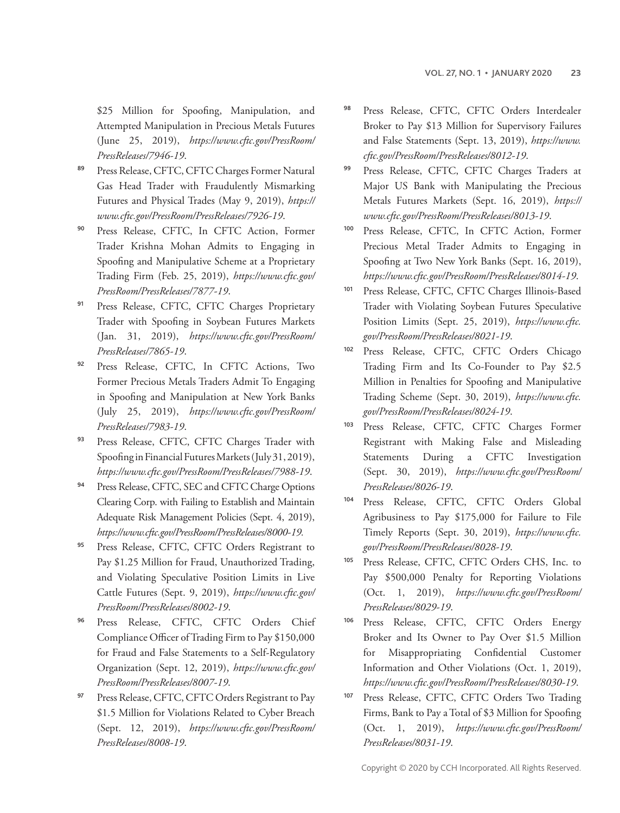\$25 Million for Spoofing, Manipulation, and Attempted Manipulation in Precious Metals Futures (June 25, 2019), *[https://www.cftc.gov/PressRoom/](https://www.cftc.gov/PressRoom/PressReleases/7946-19) [PressReleases/7946-19](https://www.cftc.gov/PressRoom/PressReleases/7946-19)*.

- 89 Press Release, CFTC, CFTC Charges Former Natural Gas Head Trader with Fraudulently Mismarking Futures and Physical Trades (May 9, 2019), *[https://](https://www.cftc.gov/PressRoom/PressReleases/7926-19) [www.cftc.gov/PressRoom/PressReleases/7926-19](https://www.cftc.gov/PressRoom/PressReleases/7926-19)*.
- <sup>90</sup> Press Release, CFTC, In CFTC Action, Former Trader Krishna Mohan Admits to Engaging in Spoofing and Manipulative Scheme at a Proprietary Trading Firm (Feb. 25, 2019), *[https://www.cftc.gov/](https://www.cftc.gov/PressRoom/PressReleases/7877-19) [PressRoom/PressReleases/7877-19](https://www.cftc.gov/PressRoom/PressReleases/7877-19)*.
- 91 Press Release, CFTC, CFTC Charges Proprietary Trader with Spoofing in Soybean Futures Markets (Jan. 31, 2019), *[https://www.cftc.gov/PressRoom/](https://www.cftc.gov/PressRoom/PressReleases/7865-19) [PressReleases/7865-19](https://www.cftc.gov/PressRoom/PressReleases/7865-19)*.
- 92 Press Release, CFTC, In CFTC Actions, Two Former Precious Metals Traders Admit To Engaging in Spoofing and Manipulation at New York Banks (July 25, 2019), *[https://www.cftc.gov/PressRoom/](https://www.cftc.gov/PressRoom/PressReleases/7983-19) [PressReleases/7983-19](https://www.cftc.gov/PressRoom/PressReleases/7983-19)*.
- 93 Press Release, CFTC, CFTC Charges Trader with Spoofing in Financial Futures Markets (July 31, 2019), *<https://www.cftc.gov/PressRoom/PressReleases/7988-19>*.
- Press Release, CFTC, SEC and CFTC Charge Options Clearing Corp. with Failing to Establish and Maintain Adequate Risk Management Policies (Sept. 4, 2019), *[https://www.cftc.gov/PressRoom/PressReleases/8000-19.](https://www.cftc.gov/PressRoom/PressReleases/8000-19)*
- Press Release, CFTC, CFTC Orders Registrant to Pay \$1.25 Million for Fraud, Unauthorized Trading, and Violating Speculative Position Limits in Live Cattle Futures (Sept. 9, 2019), *[https://www.cftc.gov/](https://www.cftc.gov/PressRoom/PressReleases/8002-19) [PressRoom/PressReleases/8002-19](https://www.cftc.gov/PressRoom/PressReleases/8002-19)*.
- Press Release, CFTC, CFTC Orders Chief Compliance Officer of Trading Firm to Pay \$150,000 for Fraud and False Statements to a Self-Regulatory Organization (Sept. 12, 2019), *[https://www.cftc.gov/](https://www.cftc.gov/PressRoom/PressReleases/8007-19) [PressRoom/PressReleases/8007-19](https://www.cftc.gov/PressRoom/PressReleases/8007-19)*.
- 97 Press Release, CFTC, CFTC Orders Registrant to Pay \$1.5 Million for Violations Related to Cyber Breach (Sept. 12, 2019), *[https://www.cftc.gov/PressRoom/](https://www.cftc.gov/PressRoom/PressReleases/8008-19) [PressReleases/8008-19](https://www.cftc.gov/PressRoom/PressReleases/8008-19)*.
- 98 Press Release, CFTC, CFTC Orders Interdealer Broker to Pay \$13 Million for Supervisory Failures and False Statements (Sept. 13, 2019), *[https://www.](https://www.cftc.gov/PressRoom/PressReleases/8012-19) [cftc.gov/PressRoom/PressReleases/8012-19](https://www.cftc.gov/PressRoom/PressReleases/8012-19)*.
- 99 Press Release, CFTC, CFTC Charges Traders at Major US Bank with Manipulating the Precious Metals Futures Markets (Sept. 16, 2019), *[https://](https://www.cftc.gov/PressRoom/PressReleases/8013-19) [www.cftc.gov/PressRoom/PressReleases/8013-19](https://www.cftc.gov/PressRoom/PressReleases/8013-19)*.
- <sup>100</sup> Press Release, CFTC, In CFTC Action, Former Precious Metal Trader Admits to Engaging in Spoofing at Two New York Banks (Sept. 16, 2019), *<https://www.cftc.gov/PressRoom/PressReleases/8014-19>*.
- <sup>101</sup> Press Release, CFTC, CFTC Charges Illinois-Based Trader with Violating Soybean Futures Speculative Position Limits (Sept. 25, 2019), *[https://www.cftc.](https://www.cftc.gov/PressRoom/PressReleases/8021-19) [gov/PressRoom/PressReleases/8021-19](https://www.cftc.gov/PressRoom/PressReleases/8021-19)*.
- <sup>102</sup> Press Release, CFTC, CFTC Orders Chicago Trading Firm and Its Co-Founder to Pay \$2.5 Million in Penalties for Spoofing and Manipulative Trading Scheme (Sept. 30, 2019), *[https://www.cftc.](https://www.cftc.gov/PressRoom/PressReleases/8024-19) [gov/PressRoom/PressReleases/8024-19](https://www.cftc.gov/PressRoom/PressReleases/8024-19)*.
- <sup>103</sup> Press Release, CFTC, CFTC Charges Former Registrant with Making False and Misleading Statements During a CFTC Investigation (Sept. 30, 2019), *[https://www.cftc.gov/PressRoom/](https://www.cftc.gov/PressRoom/PressReleases/8026-19) [PressReleases/8026-19](https://www.cftc.gov/PressRoom/PressReleases/8026-19)*.
- <sup>104</sup> Press Release, CFTC, CFTC Orders Global Agribusiness to Pay \$175,000 for Failure to File Timely Reports (Sept. 30, 2019), *[https://www.cftc.](https://www.cftc.gov/PressRoom/PressReleases/8028-19) [gov/PressRoom/PressReleases/8028-19](https://www.cftc.gov/PressRoom/PressReleases/8028-19)*.
- 105 Press Release, CFTC, CFTC Orders CHS, Inc. to Pay \$500,000 Penalty for Reporting Violations (Oct. 1, 2019), *[https://www.cftc.gov/PressRoom/](https://www.cftc.gov/PressRoom/PressReleases/8029-19) [PressReleases/8029-19](https://www.cftc.gov/PressRoom/PressReleases/8029-19)*.
- <sup>106</sup> Press Release, CFTC, CFTC Orders Energy Broker and Its Owner to Pay Over \$1.5 Million for Misappropriating Confidential Customer Information and Other Violations (Oct. 1, 2019), *<https://www.cftc.gov/PressRoom/PressReleases/8030-19>*.
- <sup>107</sup> Press Release, CFTC, CFTC Orders Two Trading Firms, Bank to Pay a Total of \$3 Million for Spoofing (Oct. 1, 2019), *[https://www.cftc.gov/PressRoom/](https://www.cftc.gov/PressRoom/PressReleases/8031-19) [PressReleases/8031-19](https://www.cftc.gov/PressRoom/PressReleases/8031-19)*.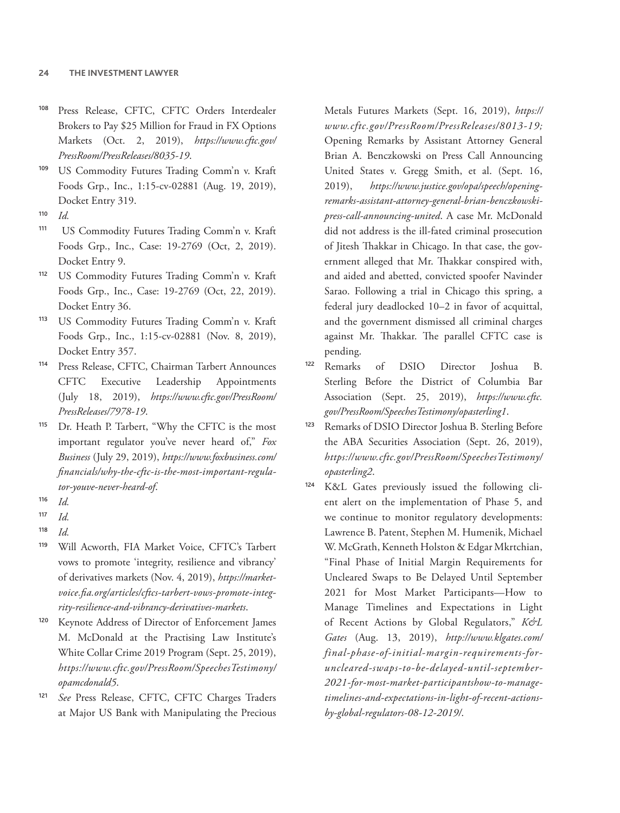- <sup>108</sup> Press Release, CFTC, CFTC Orders Interdealer Brokers to Pay \$25 Million for Fraud in FX Options Markets (Oct. 2, 2019), *[https://www.cftc.gov/](https://www.cftc.gov/PressRoom/PressReleases/8035-19) [PressRoom/PressReleases/8035-19](https://www.cftc.gov/PressRoom/PressReleases/8035-19)*.
- <sup>109</sup> US Commodity Futures Trading Comm'n v. Kraft Foods Grp., Inc., 1:15-cv-02881 (Aug. 19, 2019), Docket Entry 319.
- <sup>110</sup> *Id.*
- <sup>111</sup> US Commodity Futures Trading Comm'n v. Kraft Foods Grp., Inc., Case: 19-2769 (Oct, 2, 2019). Docket Entry 9.
- <sup>112</sup> US Commodity Futures Trading Comm'n v. Kraft Foods Grp., Inc., Case: 19-2769 (Oct, 22, 2019). Docket Entry 36.
- US Commodity Futures Trading Comm'n v. Kraft Foods Grp., Inc., 1:15-cv-02881 (Nov. 8, 2019), Docket Entry 357.
- <sup>114</sup> Press Release, CFTC, Chairman Tarbert Announces CFTC Executive Leadership Appointments (July 18, 2019), *[https://www.cftc.gov/PressRoom/](https://www.cftc.gov/PressRoom/PressReleases/7978-19) [PressReleases/7978-19](https://www.cftc.gov/PressRoom/PressReleases/7978-19)*.
- <sup>115</sup> Dr. Heath P. Tarbert, "Why the CFTC is the most important regulator you've never heard of," *Fox Business* (July 29, 2019), *[https://www.foxbusiness.com/](https://www.foxbusiness.com/financials/why-the-cftc-is-the-most-important-regulator-youve-never-heard-of) [financials/why-the-cftc-is-the-most-important-regula](https://www.foxbusiness.com/financials/why-the-cftc-is-the-most-important-regulator-youve-never-heard-of)[tor-youve-never-heard-of](https://www.foxbusiness.com/financials/why-the-cftc-is-the-most-important-regulator-youve-never-heard-of)*.
- <sup>116</sup> *Id.*

- <sup>119</sup> Will Acworth, FIA Market Voice, CFTC's Tarbert vows to promote 'integrity, resilience and vibrancy' of derivatives markets (Nov. 4, 2019), *[https://market](https://marketvoice.fia.org/articles/cftcs-tarbert-vows-promote-integrity-resilience-and-vibrancy-derivatives-markets)[voice.fia.org/articles/cftcs-tarbert-vows-promote-integ](https://marketvoice.fia.org/articles/cftcs-tarbert-vows-promote-integrity-resilience-and-vibrancy-derivatives-markets)[rity-resilience-and-vibrancy-derivatives-markets](https://marketvoice.fia.org/articles/cftcs-tarbert-vows-promote-integrity-resilience-and-vibrancy-derivatives-markets)*.
- <sup>120</sup> Keynote Address of Director of Enforcement James M. McDonald at the Practising Law Institute's White Collar Crime 2019 Program (Sept. 25, 2019), *<https://www.cftc.gov/><PressRoom></><SpeechesTestimony>[/](/opamcdonald5) [opamcdonald5](/opamcdonald5)*.
- <sup>121</sup> *See* Press Release, CFTC, CFTC Charges Traders at Major US Bank with Manipulating the Precious

Metals Futures Markets (Sept. 16, 2019), *[https://](https://www.cftc.gov/PressRoom/PressReleases/8013-19) [www.cftc.gov/PressRoom/PressReleases/8013-19;](https://www.cftc.gov/PressRoom/PressReleases/8013-19)*  Opening Remarks by Assistant Attorney General Brian A. Benczkowski on Press Call Announcing United States v. Gregg Smith, et al. (Sept. 16, 2019), *[https://www.justice.gov/opa/speech/opening](https://www.justice.gov/opa/speech/opening-remarks-assistant-attorney-general-brian-benczkowski-press-call-announcing-united)[remarks-assistant-attorney-general-brian-benczkowski](https://www.justice.gov/opa/speech/opening-remarks-assistant-attorney-general-brian-benczkowski-press-call-announcing-united)[press-call-announcing-united](https://www.justice.gov/opa/speech/opening-remarks-assistant-attorney-general-brian-benczkowski-press-call-announcing-united)*. A case Mr. McDonald did not address is the ill-fated criminal prosecution of Jitesh Thakkar in Chicago. In that case, the government alleged that Mr. Thakkar conspired with, and aided and abetted, convicted spoofer Navinder Sarao. Following a trial in Chicago this spring, a federal jury deadlocked 10–2 in favor of acquittal, and the government dismissed all criminal charges against Mr. Thakkar. The parallel CFTC case is pending.

- <sup>122</sup> Remarks of DSIO Director Joshua B. Sterling Before the District of Columbia Bar Association (Sept. 25, 2019), *[https://www.cftc.](https://www.cftc.gov/) [gov/](https://www.cftc.gov/)<PressRoom></><SpeechesTestimony></opasterling1>*.
- <sup>123</sup> Remarks of DSIO Director Joshua B. Sterling Before the ABA Securities Association (Sept. 26, 2019), *<https://www.cftc.gov/><PressRoom></><SpeechesTestimony>[/](/opasterling2) [opasterling2](/opasterling2)*.
- <sup>124</sup> K&L Gates previously issued the following client alert on the implementation of Phase 5, and we continue to monitor regulatory developments: Lawrence B. Patent, Stephen M. Humenik, Michael W. McGrath, Kenneth Holston & Edgar Mkrtchian, "Final Phase of Initial Margin Requirements for Uncleared Swaps to Be Delayed Until September 2021 for Most Market Participants—How to Manage Timelines and Expectations in Light of Recent Actions by Global Regulators," *K&L Gates* (Aug. 13, 2019), *[http://www.klgates.com/](http://www.klgates.com/final-phase-of-initial-margin-requirements-for-uncleared-swaps-to-be-delayed-until-september-2021-for-most-market-participantshow-to-manage-timelines-and-expectations-in-light-of-recent-actions-by-global-regulators-08-12-2019/) [final-phase-of-initial-margin-requirements-for](http://www.klgates.com/final-phase-of-initial-margin-requirements-for-uncleared-swaps-to-be-delayed-until-september-2021-for-most-market-participantshow-to-manage-timelines-and-expectations-in-light-of-recent-actions-by-global-regulators-08-12-2019/)[uncleared-swaps-to-be-delayed-until-september-](http://www.klgates.com/final-phase-of-initial-margin-requirements-for-uncleared-swaps-to-be-delayed-until-september-2021-for-most-market-participantshow-to-manage-timelines-and-expectations-in-light-of-recent-actions-by-global-regulators-08-12-2019/)[2021-for-most-market-participantshow-to-manage](http://www.klgates.com/final-phase-of-initial-margin-requirements-for-uncleared-swaps-to-be-delayed-until-september-2021-for-most-market-participantshow-to-manage-timelines-and-expectations-in-light-of-recent-actions-by-global-regulators-08-12-2019/)[timelines-and-expectations-in-light-of-recent-actions](http://www.klgates.com/final-phase-of-initial-margin-requirements-for-uncleared-swaps-to-be-delayed-until-september-2021-for-most-market-participantshow-to-manage-timelines-and-expectations-in-light-of-recent-actions-by-global-regulators-08-12-2019/)[by-global-regulators-08-12-2019/](http://www.klgates.com/final-phase-of-initial-margin-requirements-for-uncleared-swaps-to-be-delayed-until-september-2021-for-most-market-participantshow-to-manage-timelines-and-expectations-in-light-of-recent-actions-by-global-regulators-08-12-2019/)*.

<sup>117</sup> *Id.*

<sup>118</sup> *Id.*